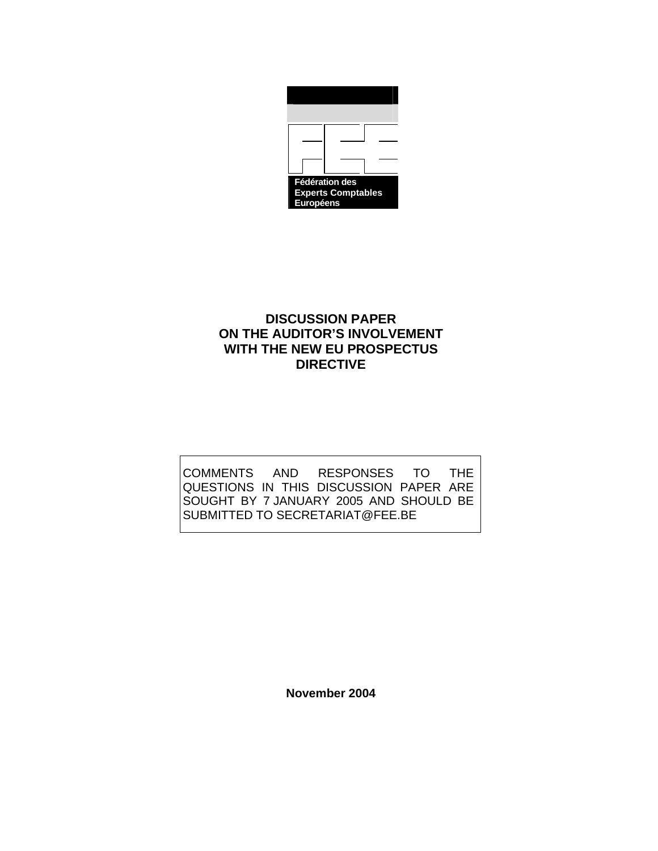

# **DISCUSSION PAPER ON THE AUDITOR'S INVOLVEMENT WITH THE NEW EU PROSPECTUS DIRECTIVE**

COMMENTS AND RESPONSES TO THE QUESTIONS IN THIS DISCUSSION PAPER ARE SOUGHT BY 7 JANUARY 2005 AND SHOULD BE SUBMITTED TO SECRETARIAT@FEE.BE

**November 2004**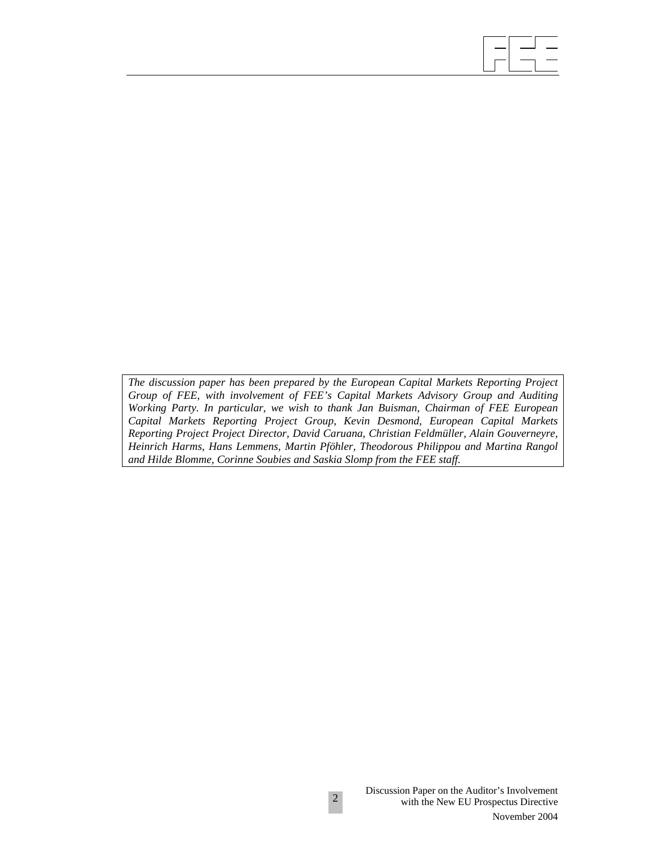*The discussion paper has been prepared by the European Capital Markets Reporting Project Group of FEE, with involvement of FEE's Capital Markets Advisory Group and Auditing Working Party. In particular, we wish to thank Jan Buisman, Chairman of FEE European Capital Markets Reporting Project Group, Kevin Desmond, European Capital Markets Reporting Project Project Director, David Caruana, Christian Feldmüller, Alain Gouverneyre, Heinrich Harms, Hans Lemmens, Martin Pföhler, Theodorous Philippou and Martina Rangol and Hilde Blomme, Corinne Soubies and Saskia Slomp from the FEE staff.* 

 $\overline{\phantom{a}}$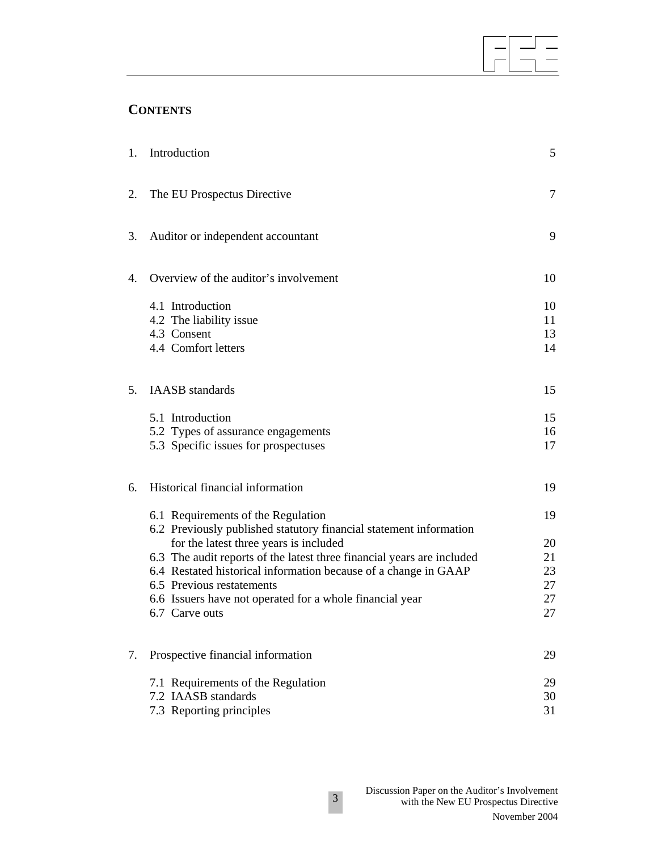# **CONTENTS**

|    | 1. Introduction                                                            | 5        |
|----|----------------------------------------------------------------------------|----------|
| 2. | The EU Prospectus Directive                                                | 7        |
| 3. | Auditor or independent accountant                                          | 9        |
| 4. | Overview of the auditor's involvement                                      | 10       |
|    | 4.1 Introduction                                                           | 10       |
|    | 4.2 The liability issue                                                    | 11       |
|    | 4.3 Consent                                                                | 13       |
|    | 4.4 Comfort letters                                                        | 14       |
| 5. | <b>IAASB</b> standards                                                     | 15       |
|    | 5.1 Introduction                                                           | 15       |
|    | 5.2 Types of assurance engagements                                         | 16       |
|    | 5.3 Specific issues for prospectuses                                       | 17       |
| 6. | Historical financial information                                           | 19       |
|    | 6.1 Requirements of the Regulation                                         | 19       |
|    | 6.2 Previously published statutory financial statement information         |          |
|    | for the latest three years is included                                     | 20       |
|    | 6.3 The audit reports of the latest three financial years are included     | 21       |
|    | 6.4 Restated historical information because of a change in GAAP            | 23       |
|    | 6.5 Previous restatements                                                  | 27       |
|    | 6.6 Issuers have not operated for a whole financial year<br>6.7 Carve outs | 27<br>27 |
|    |                                                                            |          |
| 7. | Prospective financial information                                          | 29       |
|    | 7.1 Requirements of the Regulation                                         | 29       |
|    | 7.2 IAASB standards                                                        | 30       |
|    | 7.3 Reporting principles                                                   | 31       |

 $\overline{\phantom{a}}$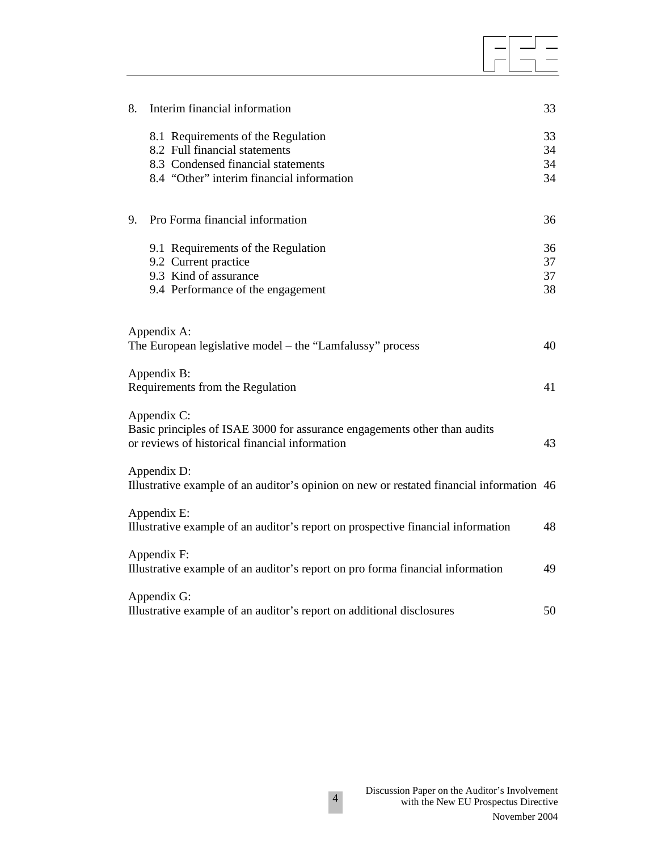| 8. | Interim financial information                                                                                                              | 33       |
|----|--------------------------------------------------------------------------------------------------------------------------------------------|----------|
|    | 8.1 Requirements of the Regulation<br>8.2 Full financial statements                                                                        | 33<br>34 |
|    | 8.3 Condensed financial statements                                                                                                         | 34       |
|    | 8.4 "Other" interim financial information                                                                                                  | 34       |
| 9. | Pro Forma financial information                                                                                                            | 36       |
|    | 9.1 Requirements of the Regulation                                                                                                         | 36       |
|    | 9.2 Current practice<br>9.3 Kind of assurance                                                                                              | 37<br>37 |
|    | 9.4 Performance of the engagement                                                                                                          | 38       |
|    | Appendix A:<br>The European legislative model - the "Lamfalussy" process                                                                   | 40       |
|    | Appendix B:<br>Requirements from the Regulation                                                                                            | 41       |
|    | Appendix C:<br>Basic principles of ISAE 3000 for assurance engagements other than audits<br>or reviews of historical financial information | 43       |
|    | Appendix D:<br>Illustrative example of an auditor's opinion on new or restated financial information 46                                    |          |
|    | Appendix E:<br>Illustrative example of an auditor's report on prospective financial information                                            | 48       |
|    | Appendix F:<br>Illustrative example of an auditor's report on pro forma financial information                                              | 49       |
|    | Appendix G:<br>Illustrative example of an auditor's report on additional disclosures                                                       | 50       |

 $\overline{\phantom{a}}$ 

 $\equiv$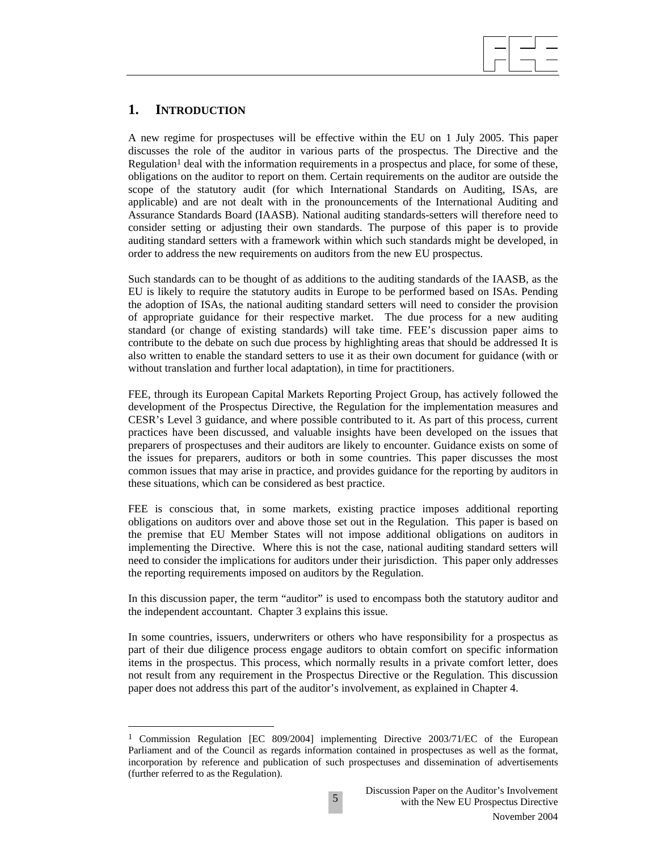# $\overline{\phantom{a}}$

# **1. INTRODUCTION**

 $\overline{a}$ 

A new regime for prospectuses will be effective within the EU on 1 July 2005. This paper discusses the role of the auditor in various parts of the prospectus. The Directive and the Regulation<sup>1</sup> deal with the information requirements in a prospectus and place, for some of these, obligations on the auditor to report on them. Certain requirements on the auditor are outside the scope of the statutory audit (for which International Standards on Auditing, ISAs, are applicable) and are not dealt with in the pronouncements of the International Auditing and Assurance Standards Board (IAASB). National auditing standards-setters will therefore need to consider setting or adjusting their own standards. The purpose of this paper is to provide auditing standard setters with a framework within which such standards might be developed, in order to address the new requirements on auditors from the new EU prospectus.

Such standards can to be thought of as additions to the auditing standards of the IAASB, as the EU is likely to require the statutory audits in Europe to be performed based on ISAs. Pending the adoption of ISAs, the national auditing standard setters will need to consider the provision of appropriate guidance for their respective market. The due process for a new auditing standard (or change of existing standards) will take time. FEE's discussion paper aims to contribute to the debate on such due process by highlighting areas that should be addressed It is also written to enable the standard setters to use it as their own document for guidance (with or without translation and further local adaptation), in time for practitioners.

FEE, through its European Capital Markets Reporting Project Group, has actively followed the development of the Prospectus Directive, the Regulation for the implementation measures and CESR's Level 3 guidance, and where possible contributed to it. As part of this process, current practices have been discussed, and valuable insights have been developed on the issues that preparers of prospectuses and their auditors are likely to encounter. Guidance exists on some of the issues for preparers, auditors or both in some countries. This paper discusses the most common issues that may arise in practice, and provides guidance for the reporting by auditors in these situations, which can be considered as best practice.

FEE is conscious that, in some markets, existing practice imposes additional reporting obligations on auditors over and above those set out in the Regulation. This paper is based on the premise that EU Member States will not impose additional obligations on auditors in implementing the Directive. Where this is not the case, national auditing standard setters will need to consider the implications for auditors under their jurisdiction. This paper only addresses the reporting requirements imposed on auditors by the Regulation.

In this discussion paper, the term "auditor" is used to encompass both the statutory auditor and the independent accountant. Chapter 3 explains this issue.

In some countries, issuers, underwriters or others who have responsibility for a prospectus as part of their due diligence process engage auditors to obtain comfort on specific information items in the prospectus. This process, which normally results in a private comfort letter, does not result from any requirement in the Prospectus Directive or the Regulation. This discussion paper does not address this part of the auditor's involvement, as explained in Chapter 4.

<sup>1</sup> Commission Regulation [EC 809/2004] implementing Directive 2003/71/EC of the European Parliament and of the Council as regards information contained in prospectuses as well as the format, incorporation by reference and publication of such prospectuses and dissemination of advertisements (further referred to as the Regulation).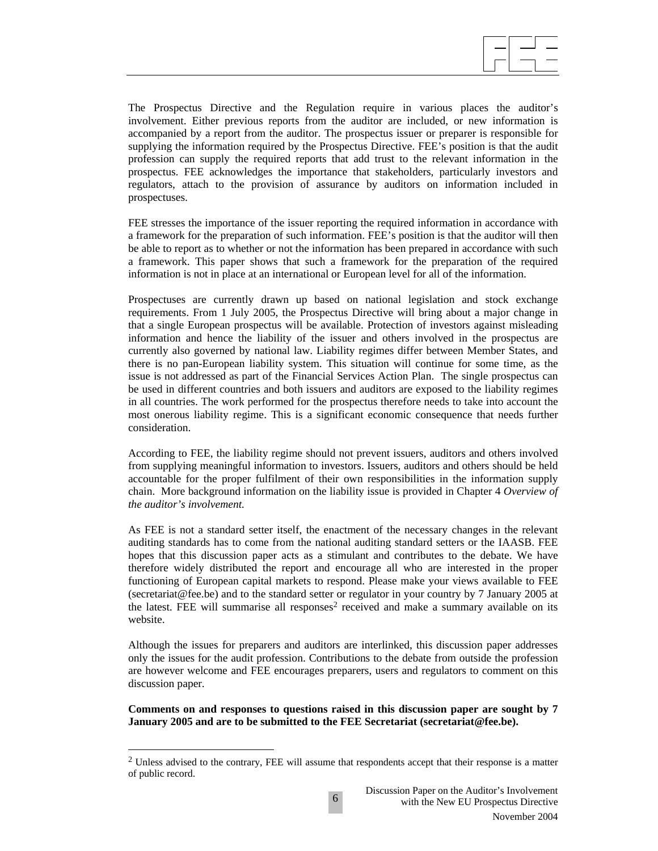The Prospectus Directive and the Regulation require in various places the auditor's involvement. Either previous reports from the auditor are included, or new information is accompanied by a report from the auditor. The prospectus issuer or preparer is responsible for supplying the information required by the Prospectus Directive. FEE's position is that the audit profession can supply the required reports that add trust to the relevant information in the prospectus. FEE acknowledges the importance that stakeholders, particularly investors and regulators, attach to the provision of assurance by auditors on information included in prospectuses.

FEE stresses the importance of the issuer reporting the required information in accordance with a framework for the preparation of such information. FEE's position is that the auditor will then be able to report as to whether or not the information has been prepared in accordance with such a framework. This paper shows that such a framework for the preparation of the required information is not in place at an international or European level for all of the information.

Prospectuses are currently drawn up based on national legislation and stock exchange requirements. From 1 July 2005, the Prospectus Directive will bring about a major change in that a single European prospectus will be available. Protection of investors against misleading information and hence the liability of the issuer and others involved in the prospectus are currently also governed by national law. Liability regimes differ between Member States, and there is no pan-European liability system. This situation will continue for some time, as the issue is not addressed as part of the Financial Services Action Plan. The single prospectus can be used in different countries and both issuers and auditors are exposed to the liability regimes in all countries. The work performed for the prospectus therefore needs to take into account the most onerous liability regime. This is a significant economic consequence that needs further consideration.

According to FEE, the liability regime should not prevent issuers, auditors and others involved from supplying meaningful information to investors. Issuers, auditors and others should be held accountable for the proper fulfilment of their own responsibilities in the information supply chain. More background information on the liability issue is provided in Chapter 4 *Overview of the auditor's involvement.*

As FEE is not a standard setter itself, the enactment of the necessary changes in the relevant auditing standards has to come from the national auditing standard setters or the IAASB. FEE hopes that this discussion paper acts as a stimulant and contributes to the debate. We have therefore widely distributed the report and encourage all who are interested in the proper functioning of European capital markets to respond. Please make your views available to FEE (secretariat@fee.be) and to the standard setter or regulator in your country by 7 January 2005 at the latest. FEE will summarise all responses<sup>2</sup> received and make a summary available on its website.

Although the issues for preparers and auditors are interlinked, this discussion paper addresses only the issues for the audit profession. Contributions to the debate from outside the profession are however welcome and FEE encourages preparers, users and regulators to comment on this discussion paper.

**Comments on and responses to questions raised in this discussion paper are sought by 7 January 2005 and are to be submitted to the FEE Secretariat (secretariat@fee.be).** 

6

 $\overline{a}$ 

<sup>2</sup> Unless advised to the contrary, FEE will assume that respondents accept that their response is a matter of public record.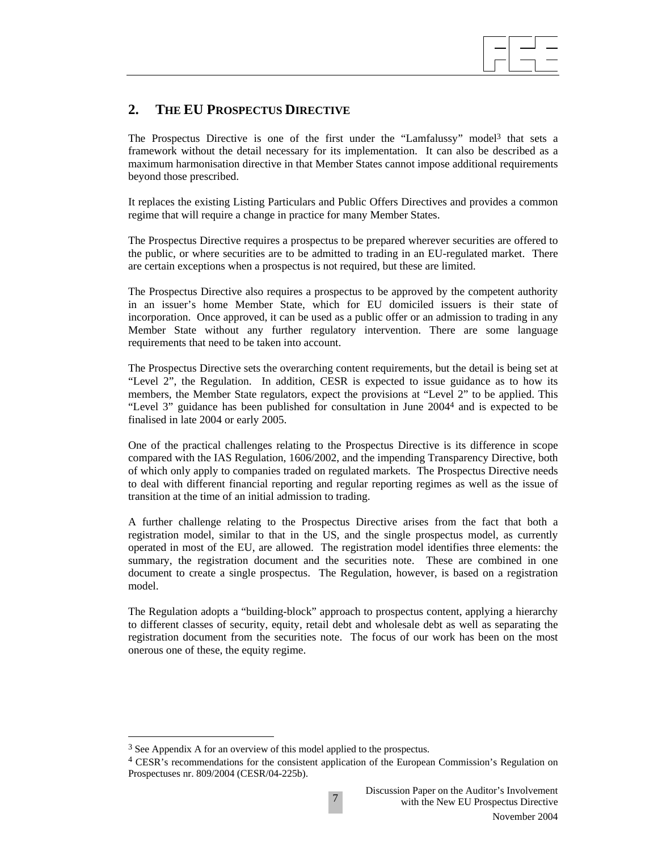

# **2. THE EU PROSPECTUS DIRECTIVE**

The Prospectus Directive is one of the first under the "Lamfalussy" model<sup>3</sup> that sets a framework without the detail necessary for its implementation. It can also be described as a maximum harmonisation directive in that Member States cannot impose additional requirements beyond those prescribed.

It replaces the existing Listing Particulars and Public Offers Directives and provides a common regime that will require a change in practice for many Member States.

The Prospectus Directive requires a prospectus to be prepared wherever securities are offered to the public, or where securities are to be admitted to trading in an EU-regulated market. There are certain exceptions when a prospectus is not required, but these are limited.

The Prospectus Directive also requires a prospectus to be approved by the competent authority in an issuer's home Member State, which for EU domiciled issuers is their state of incorporation. Once approved, it can be used as a public offer or an admission to trading in any Member State without any further regulatory intervention. There are some language requirements that need to be taken into account.

The Prospectus Directive sets the overarching content requirements, but the detail is being set at "Level 2", the Regulation. In addition, CESR is expected to issue guidance as to how its members, the Member State regulators, expect the provisions at "Level 2" to be applied. This "Level 3" guidance has been published for consultation in June 20044 and is expected to be finalised in late 2004 or early 2005.

One of the practical challenges relating to the Prospectus Directive is its difference in scope compared with the IAS Regulation, 1606/2002, and the impending Transparency Directive, both of which only apply to companies traded on regulated markets. The Prospectus Directive needs to deal with different financial reporting and regular reporting regimes as well as the issue of transition at the time of an initial admission to trading.

A further challenge relating to the Prospectus Directive arises from the fact that both a registration model, similar to that in the US, and the single prospectus model, as currently operated in most of the EU, are allowed. The registration model identifies three elements: the summary, the registration document and the securities note. These are combined in one document to create a single prospectus. The Regulation, however, is based on a registration model.

The Regulation adopts a "building-block" approach to prospectus content, applying a hierarchy to different classes of security, equity, retail debt and wholesale debt as well as separating the registration document from the securities note. The focus of our work has been on the most onerous one of these, the equity regime.

 $\overline{\phantom{a}}$ 

<sup>3</sup> See Appendix A for an overview of this model applied to the prospectus.

<sup>4</sup> CESR's recommendations for the consistent application of the European Commission's Regulation on Prospectuses nr. 809/2004 (CESR/04-225b).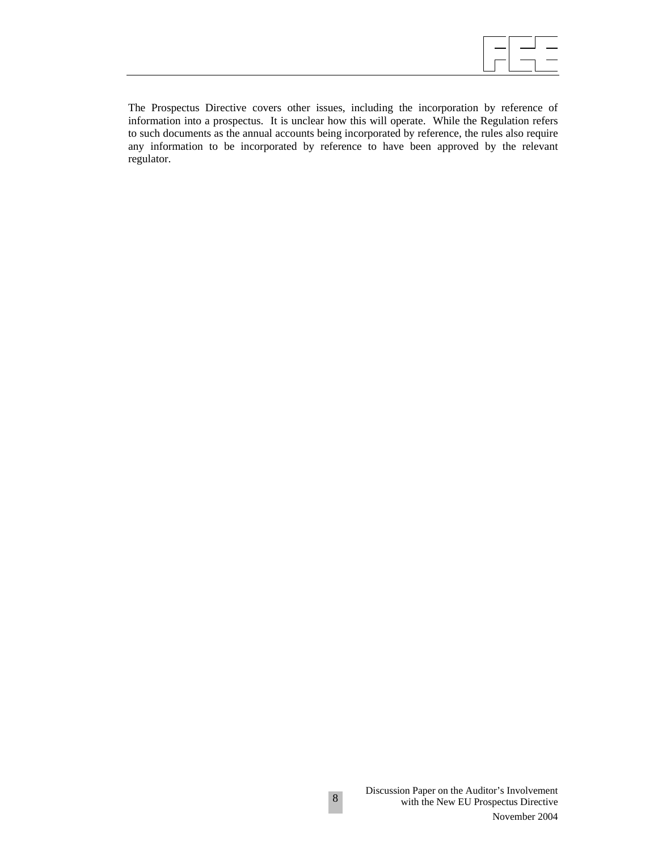The Prospectus Directive covers other issues, including the incorporation by reference of information into a prospectus. It is unclear how this will operate. While the Regulation refers to such documents as the annual accounts being incorporated by reference, the rules also require any information to be incorporated by reference to have been approved by the relevant regulator.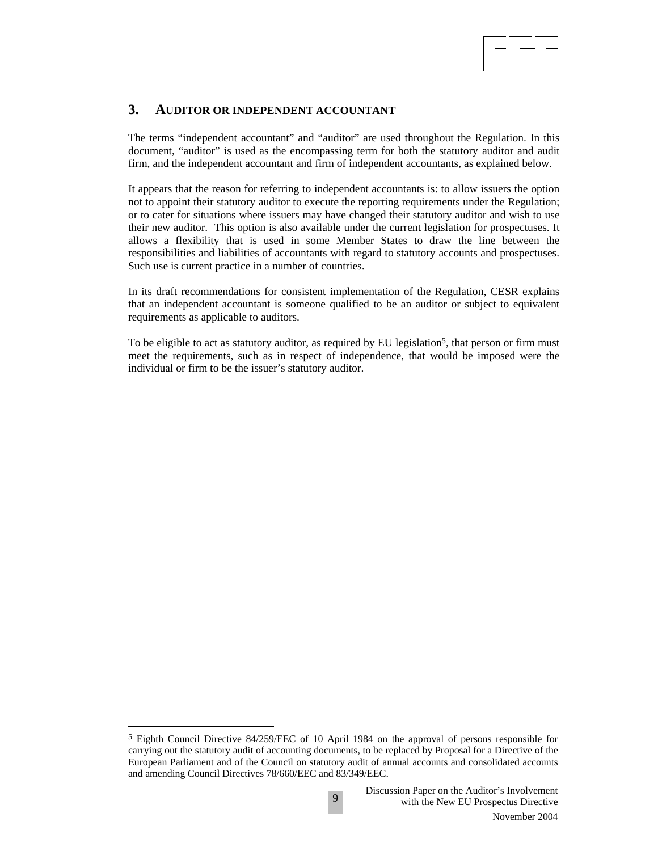

## **3. AUDITOR OR INDEPENDENT ACCOUNTANT**

The terms "independent accountant" and "auditor" are used throughout the Regulation. In this document, "auditor" is used as the encompassing term for both the statutory auditor and audit firm, and the independent accountant and firm of independent accountants, as explained below.

It appears that the reason for referring to independent accountants is: to allow issuers the option not to appoint their statutory auditor to execute the reporting requirements under the Regulation; or to cater for situations where issuers may have changed their statutory auditor and wish to use their new auditor. This option is also available under the current legislation for prospectuses. It allows a flexibility that is used in some Member States to draw the line between the responsibilities and liabilities of accountants with regard to statutory accounts and prospectuses. Such use is current practice in a number of countries.

In its draft recommendations for consistent implementation of the Regulation, CESR explains that an independent accountant is someone qualified to be an auditor or subject to equivalent requirements as applicable to auditors.

To be eligible to act as statutory auditor, as required by EU legislation<sup>5</sup>, that person or firm must meet the requirements, such as in respect of independence, that would be imposed were the individual or firm to be the issuer's statutory auditor.

 $\overline{a}$ 

<sup>5</sup> Eighth Council Directive 84/259/EEC of 10 April 1984 on the approval of persons responsible for carrying out the statutory audit of accounting documents, to be replaced by Proposal for a Directive of the European Parliament and of the Council on statutory audit of annual accounts and consolidated accounts and amending Council Directives 78/660/EEC and 83/349/EEC.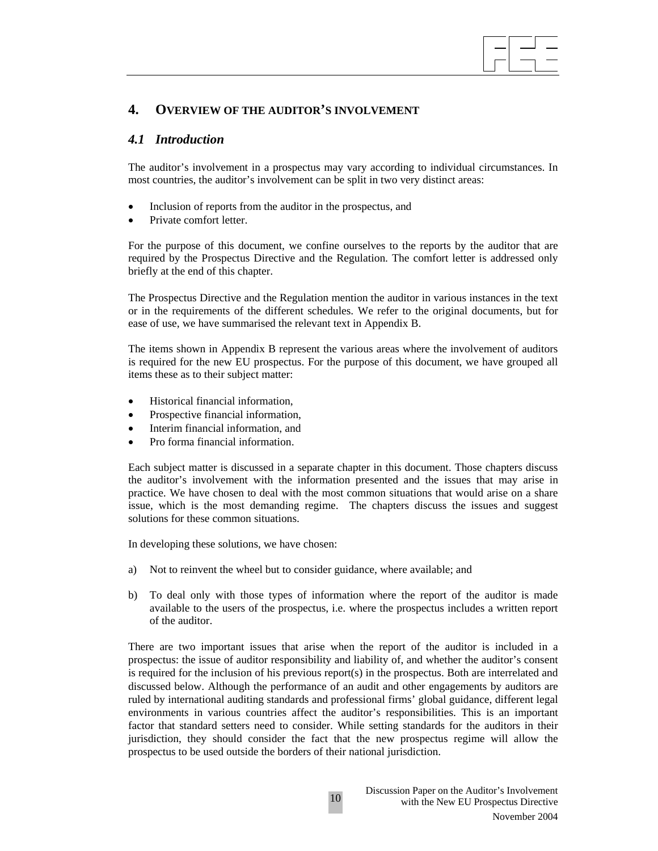

## **4. OVERVIEW OF THE AUDITOR'S INVOLVEMENT**

## *4.1 Introduction*

The auditor's involvement in a prospectus may vary according to individual circumstances. In most countries, the auditor's involvement can be split in two very distinct areas:

- Inclusion of reports from the auditor in the prospectus, and
- Private comfort letter.

For the purpose of this document, we confine ourselves to the reports by the auditor that are required by the Prospectus Directive and the Regulation. The comfort letter is addressed only briefly at the end of this chapter.

The Prospectus Directive and the Regulation mention the auditor in various instances in the text or in the requirements of the different schedules. We refer to the original documents, but for ease of use, we have summarised the relevant text in Appendix B.

The items shown in Appendix B represent the various areas where the involvement of auditors is required for the new EU prospectus. For the purpose of this document, we have grouped all items these as to their subject matter:

- Historical financial information,
- Prospective financial information,
- Interim financial information, and
- Pro forma financial information.

Each subject matter is discussed in a separate chapter in this document. Those chapters discuss the auditor's involvement with the information presented and the issues that may arise in practice. We have chosen to deal with the most common situations that would arise on a share issue, which is the most demanding regime. The chapters discuss the issues and suggest solutions for these common situations.

In developing these solutions, we have chosen:

- a) Not to reinvent the wheel but to consider guidance, where available; and
- b) To deal only with those types of information where the report of the auditor is made available to the users of the prospectus, i.e. where the prospectus includes a written report of the auditor.

There are two important issues that arise when the report of the auditor is included in a prospectus: the issue of auditor responsibility and liability of, and whether the auditor's consent is required for the inclusion of his previous report(s) in the prospectus. Both are interrelated and discussed below. Although the performance of an audit and other engagements by auditors are ruled by international auditing standards and professional firms' global guidance, different legal environments in various countries affect the auditor's responsibilities. This is an important factor that standard setters need to consider. While setting standards for the auditors in their jurisdiction, they should consider the fact that the new prospectus regime will allow the prospectus to be used outside the borders of their national jurisdiction.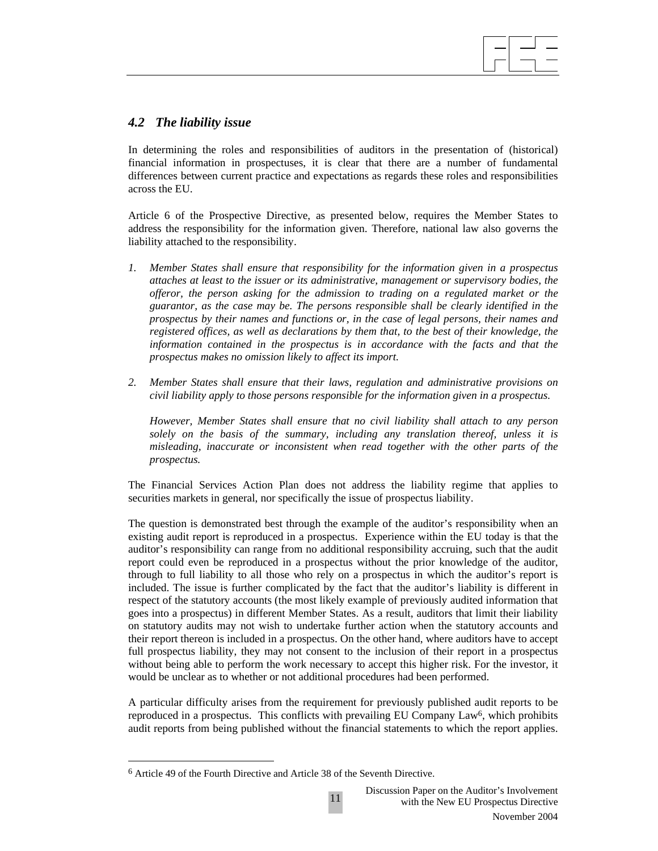## *4.2 The liability issue*

In determining the roles and responsibilities of auditors in the presentation of (historical) financial information in prospectuses, it is clear that there are a number of fundamental differences between current practice and expectations as regards these roles and responsibilities across the EU.

 $\overline{\phantom{a}}$ 

Article 6 of the Prospective Directive, as presented below, requires the Member States to address the responsibility for the information given. Therefore, national law also governs the liability attached to the responsibility.

- *1. Member States shall ensure that responsibility for the information given in a prospectus attaches at least to the issuer or its administrative, management or supervisory bodies, the offeror, the person asking for the admission to trading on a regulated market or the guarantor, as the case may be. The persons responsible shall be clearly identified in the prospectus by their names and functions or, in the case of legal persons, their names and registered offices, as well as declarations by them that, to the best of their knowledge, the information contained in the prospectus is in accordance with the facts and that the prospectus makes no omission likely to affect its import.*
- *2. Member States shall ensure that their laws, regulation and administrative provisions on civil liability apply to those persons responsible for the information given in a prospectus.*

*However, Member States shall ensure that no civil liability shall attach to any person solely on the basis of the summary, including any translation thereof, unless it is misleading, inaccurate or inconsistent when read together with the other parts of the prospectus.* 

The Financial Services Action Plan does not address the liability regime that applies to securities markets in general, nor specifically the issue of prospectus liability.

The question is demonstrated best through the example of the auditor's responsibility when an existing audit report is reproduced in a prospectus. Experience within the EU today is that the auditor's responsibility can range from no additional responsibility accruing, such that the audit report could even be reproduced in a prospectus without the prior knowledge of the auditor, through to full liability to all those who rely on a prospectus in which the auditor's report is included. The issue is further complicated by the fact that the auditor's liability is different in respect of the statutory accounts (the most likely example of previously audited information that goes into a prospectus) in different Member States. As a result, auditors that limit their liability on statutory audits may not wish to undertake further action when the statutory accounts and their report thereon is included in a prospectus. On the other hand, where auditors have to accept full prospectus liability, they may not consent to the inclusion of their report in a prospectus without being able to perform the work necessary to accept this higher risk. For the investor, it would be unclear as to whether or not additional procedures had been performed.

A particular difficulty arises from the requirement for previously published audit reports to be reproduced in a prospectus. This conflicts with prevailing EU Company Law6, which prohibits audit reports from being published without the financial statements to which the report applies.

 $\overline{\phantom{a}}$ 

<sup>6</sup> Article 49 of the Fourth Directive and Article 38 of the Seventh Directive.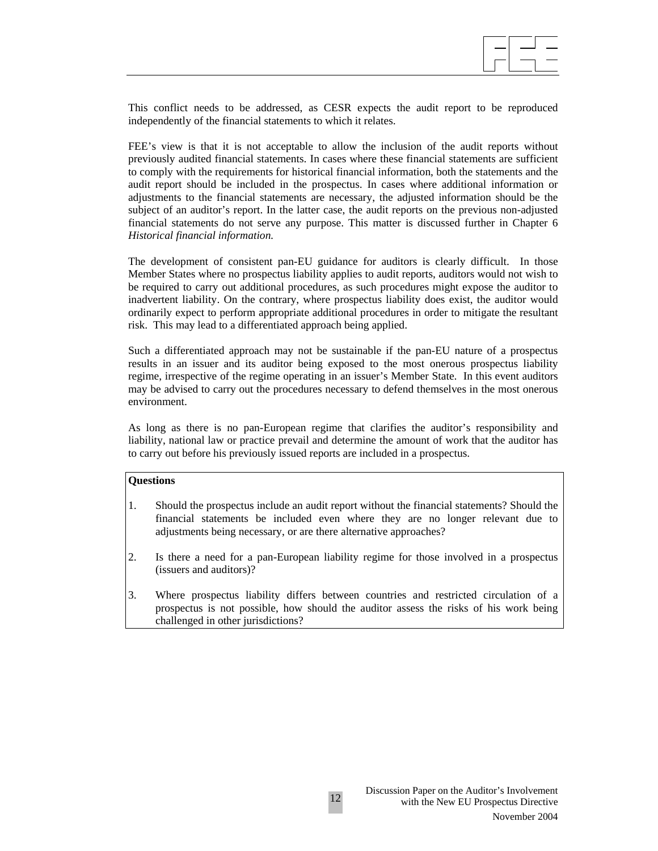

This conflict needs to be addressed, as CESR expects the audit report to be reproduced independently of the financial statements to which it relates.

FEE's view is that it is not acceptable to allow the inclusion of the audit reports without previously audited financial statements. In cases where these financial statements are sufficient to comply with the requirements for historical financial information, both the statements and the audit report should be included in the prospectus. In cases where additional information or adjustments to the financial statements are necessary, the adjusted information should be the subject of an auditor's report. In the latter case, the audit reports on the previous non-adjusted financial statements do not serve any purpose. This matter is discussed further in Chapter 6 *Historical financial information.*

The development of consistent pan-EU guidance for auditors is clearly difficult. In those Member States where no prospectus liability applies to audit reports, auditors would not wish to be required to carry out additional procedures, as such procedures might expose the auditor to inadvertent liability. On the contrary, where prospectus liability does exist, the auditor would ordinarily expect to perform appropriate additional procedures in order to mitigate the resultant risk. This may lead to a differentiated approach being applied.

Such a differentiated approach may not be sustainable if the pan-EU nature of a prospectus results in an issuer and its auditor being exposed to the most onerous prospectus liability regime, irrespective of the regime operating in an issuer's Member State. In this event auditors may be advised to carry out the procedures necessary to defend themselves in the most onerous environment.

As long as there is no pan-European regime that clarifies the auditor's responsibility and liability, national law or practice prevail and determine the amount of work that the auditor has to carry out before his previously issued reports are included in a prospectus.

## **Questions**

- 1. Should the prospectus include an audit report without the financial statements? Should the financial statements be included even where they are no longer relevant due to adjustments being necessary, or are there alternative approaches?
- 2. Is there a need for a pan-European liability regime for those involved in a prospectus (issuers and auditors)?
- 3. Where prospectus liability differs between countries and restricted circulation of a prospectus is not possible, how should the auditor assess the risks of his work being challenged in other jurisdictions?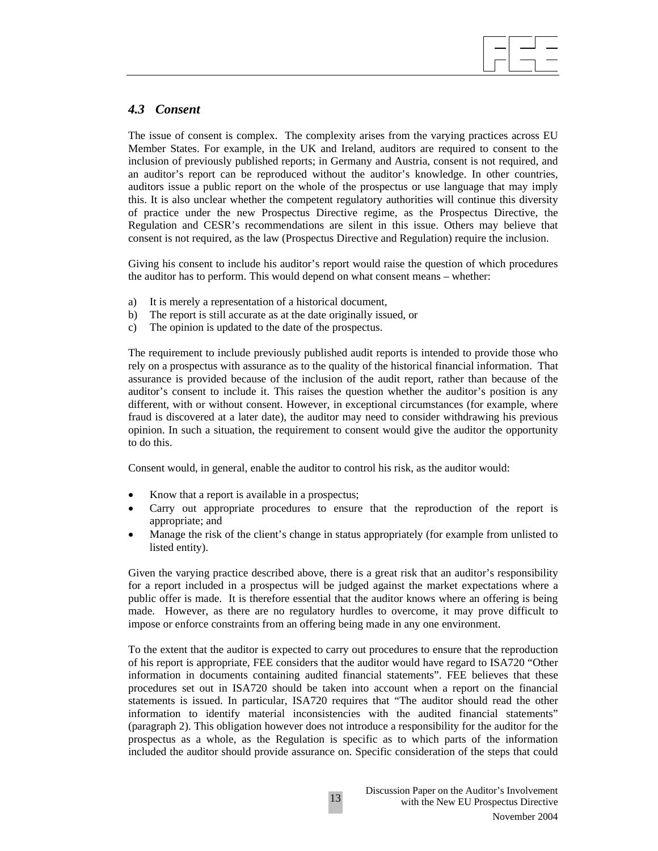## *4.3 Consent*

The issue of consent is complex. The complexity arises from the varying practices across EU Member States. For example, in the UK and Ireland, auditors are required to consent to the inclusion of previously published reports; in Germany and Austria, consent is not required, and an auditor's report can be reproduced without the auditor's knowledge. In other countries, auditors issue a public report on the whole of the prospectus or use language that may imply this. It is also unclear whether the competent regulatory authorities will continue this diversity of practice under the new Prospectus Directive regime, as the Prospectus Directive, the Regulation and CESR's recommendations are silent in this issue. Others may believe that consent is not required, as the law (Prospectus Directive and Regulation) require the inclusion.

 $\overline{\phantom{a}}$ 

Giving his consent to include his auditor's report would raise the question of which procedures the auditor has to perform. This would depend on what consent means – whether:

- a) It is merely a representation of a historical document,
- b) The report is still accurate as at the date originally issued, or
- c) The opinion is updated to the date of the prospectus.

The requirement to include previously published audit reports is intended to provide those who rely on a prospectus with assurance as to the quality of the historical financial information. That assurance is provided because of the inclusion of the audit report, rather than because of the auditor's consent to include it. This raises the question whether the auditor's position is any different, with or without consent. However, in exceptional circumstances (for example, where fraud is discovered at a later date), the auditor may need to consider withdrawing his previous opinion. In such a situation, the requirement to consent would give the auditor the opportunity to do this.

Consent would, in general, enable the auditor to control his risk, as the auditor would:

- Know that a report is available in a prospectus;
- Carry out appropriate procedures to ensure that the reproduction of the report is appropriate; and
- Manage the risk of the client's change in status appropriately (for example from unlisted to listed entity).

Given the varying practice described above, there is a great risk that an auditor's responsibility for a report included in a prospectus will be judged against the market expectations where a public offer is made. It is therefore essential that the auditor knows where an offering is being made. However, as there are no regulatory hurdles to overcome, it may prove difficult to impose or enforce constraints from an offering being made in any one environment.

To the extent that the auditor is expected to carry out procedures to ensure that the reproduction of his report is appropriate, FEE considers that the auditor would have regard to ISA720 "Other information in documents containing audited financial statements". FEE believes that these procedures set out in ISA720 should be taken into account when a report on the financial statements is issued. In particular, ISA720 requires that "The auditor should read the other information to identify material inconsistencies with the audited financial statements" (paragraph 2). This obligation however does not introduce a responsibility for the auditor for the prospectus as a whole, as the Regulation is specific as to which parts of the information included the auditor should provide assurance on. Specific consideration of the steps that could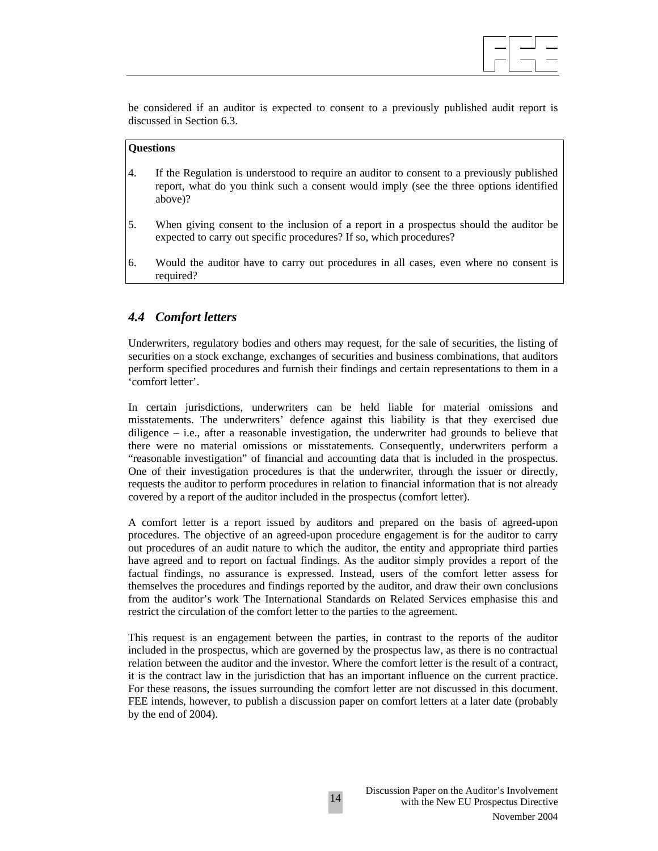

be considered if an auditor is expected to consent to a previously published audit report is discussed in Section 6.3.

## **Questions**

- 4. If the Regulation is understood to require an auditor to consent to a previously published report, what do you think such a consent would imply (see the three options identified above)?
- 5. When giving consent to the inclusion of a report in a prospectus should the auditor be expected to carry out specific procedures? If so, which procedures?
- 6. Would the auditor have to carry out procedures in all cases, even where no consent is required?

## *4.4 Comfort letters*

Underwriters, regulatory bodies and others may request, for the sale of securities, the listing of securities on a stock exchange, exchanges of securities and business combinations, that auditors perform specified procedures and furnish their findings and certain representations to them in a 'comfort letter'.

In certain jurisdictions, underwriters can be held liable for material omissions and misstatements. The underwriters' defence against this liability is that they exercised due diligence – i.e., after a reasonable investigation, the underwriter had grounds to believe that there were no material omissions or misstatements. Consequently, underwriters perform a "reasonable investigation" of financial and accounting data that is included in the prospectus. One of their investigation procedures is that the underwriter, through the issuer or directly, requests the auditor to perform procedures in relation to financial information that is not already covered by a report of the auditor included in the prospectus (comfort letter).

A comfort letter is a report issued by auditors and prepared on the basis of agreed-upon procedures. The objective of an agreed-upon procedure engagement is for the auditor to carry out procedures of an audit nature to which the auditor, the entity and appropriate third parties have agreed and to report on factual findings. As the auditor simply provides a report of the factual findings, no assurance is expressed. Instead, users of the comfort letter assess for themselves the procedures and findings reported by the auditor, and draw their own conclusions from the auditor's work The International Standards on Related Services emphasise this and restrict the circulation of the comfort letter to the parties to the agreement.

This request is an engagement between the parties, in contrast to the reports of the auditor included in the prospectus, which are governed by the prospectus law, as there is no contractual relation between the auditor and the investor. Where the comfort letter is the result of a contract, it is the contract law in the jurisdiction that has an important influence on the current practice. For these reasons, the issues surrounding the comfort letter are not discussed in this document. FEE intends, however, to publish a discussion paper on comfort letters at a later date (probably by the end of 2004).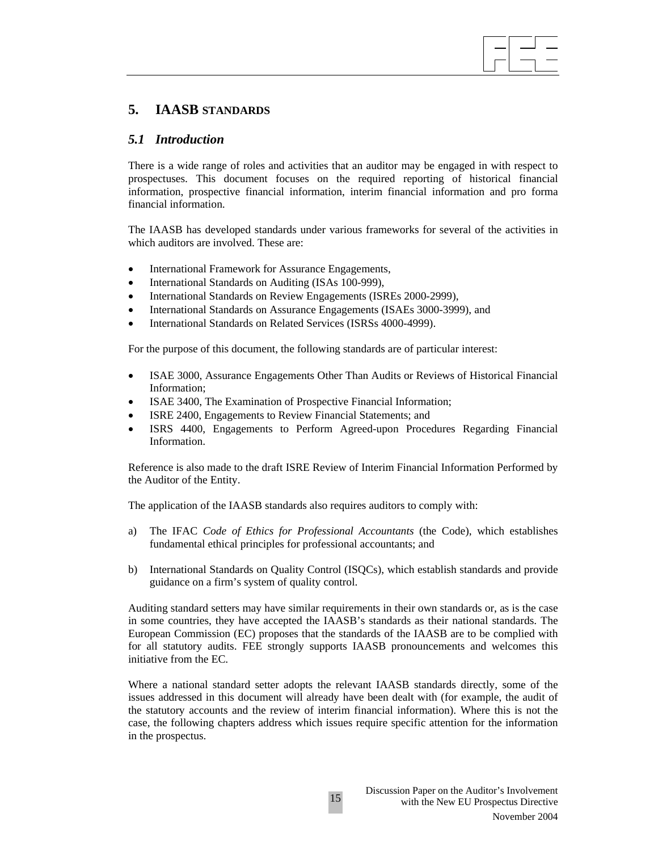# **5. IAASB STANDARDS**

## *5.1 Introduction*

There is a wide range of roles and activities that an auditor may be engaged in with respect to prospectuses. This document focuses on the required reporting of historical financial information, prospective financial information, interim financial information and pro forma financial information.

 $\overline{\phantom{a}}$ 

The IAASB has developed standards under various frameworks for several of the activities in which auditors are involved. These are:

- International Framework for Assurance Engagements,
- International Standards on Auditing (ISAs 100-999),
- International Standards on Review Engagements (ISREs 2000-2999),
- International Standards on Assurance Engagements (ISAEs 3000-3999), and
- International Standards on Related Services (ISRSs 4000-4999).

For the purpose of this document, the following standards are of particular interest:

- ISAE 3000, Assurance Engagements Other Than Audits or Reviews of Historical Financial Information;
- ISAE 3400, The Examination of Prospective Financial Information;
- ISRE 2400, Engagements to Review Financial Statements; and
- ISRS 4400, Engagements to Perform Agreed-upon Procedures Regarding Financial Information.

Reference is also made to the draft ISRE Review of Interim Financial Information Performed by the Auditor of the Entity.

The application of the IAASB standards also requires auditors to comply with:

- a) The IFAC *Code of Ethics for Professional Accountants* (the Code), which establishes fundamental ethical principles for professional accountants; and
- b) International Standards on Quality Control (ISQCs), which establish standards and provide guidance on a firm's system of quality control.

Auditing standard setters may have similar requirements in their own standards or, as is the case in some countries, they have accepted the IAASB's standards as their national standards. The European Commission (EC) proposes that the standards of the IAASB are to be complied with for all statutory audits. FEE strongly supports IAASB pronouncements and welcomes this initiative from the EC.

Where a national standard setter adopts the relevant IAASB standards directly, some of the issues addressed in this document will already have been dealt with (for example, the audit of the statutory accounts and the review of interim financial information). Where this is not the case, the following chapters address which issues require specific attention for the information in the prospectus.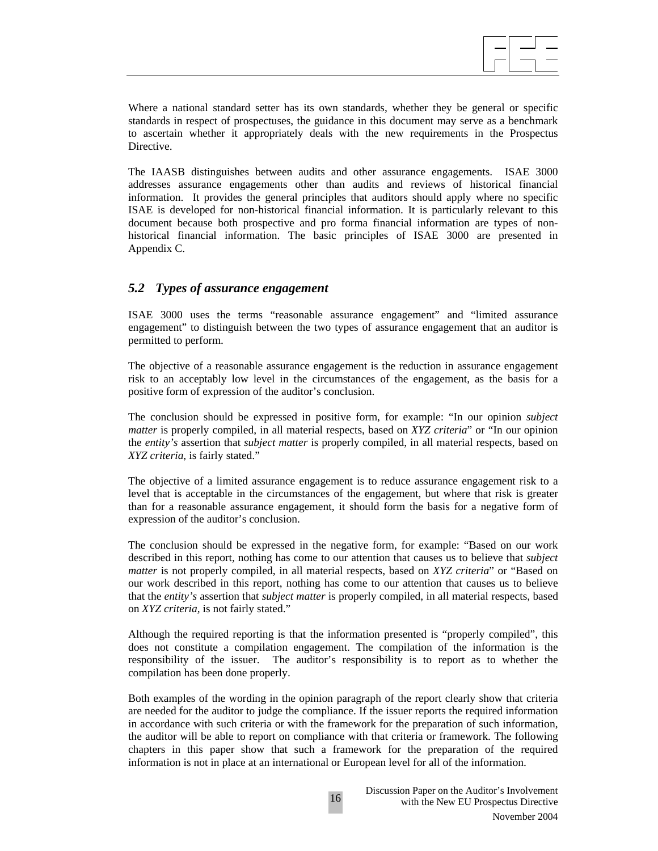$\overline{\phantom{a}}$ 

Where a national standard setter has its own standards, whether they be general or specific standards in respect of prospectuses, the guidance in this document may serve as a benchmark to ascertain whether it appropriately deals with the new requirements in the Prospectus Directive.

The IAASB distinguishes between audits and other assurance engagements. ISAE 3000 addresses assurance engagements other than audits and reviews of historical financial information. It provides the general principles that auditors should apply where no specific ISAE is developed for non-historical financial information. It is particularly relevant to this document because both prospective and pro forma financial information are types of nonhistorical financial information. The basic principles of ISAE 3000 are presented in Appendix C.

## *5.2 Types of assurance engagement*

ISAE 3000 uses the terms "reasonable assurance engagement" and "limited assurance engagement" to distinguish between the two types of assurance engagement that an auditor is permitted to perform.

The objective of a reasonable assurance engagement is the reduction in assurance engagement risk to an acceptably low level in the circumstances of the engagement, as the basis for a positive form of expression of the auditor's conclusion.

The conclusion should be expressed in positive form, for example: "In our opinion *subject matter* is properly compiled, in all material respects, based on *XYZ criteria*" or "In our opinion the *entity's* assertion that *subject matter* is properly compiled, in all material respects, based on *XYZ criteria*, is fairly stated."

The objective of a limited assurance engagement is to reduce assurance engagement risk to a level that is acceptable in the circumstances of the engagement, but where that risk is greater than for a reasonable assurance engagement, it should form the basis for a negative form of expression of the auditor's conclusion.

The conclusion should be expressed in the negative form, for example: "Based on our work described in this report, nothing has come to our attention that causes us to believe that *subject matter* is not properly compiled, in all material respects, based on *XYZ criteria*" or "Based on our work described in this report, nothing has come to our attention that causes us to believe that the *entity's* assertion that *subject matter* is properly compiled, in all material respects, based on *XYZ criteria,* is not fairly stated."

Although the required reporting is that the information presented is "properly compiled", this does not constitute a compilation engagement. The compilation of the information is the responsibility of the issuer. The auditor's responsibility is to report as to whether the compilation has been done properly.

Both examples of the wording in the opinion paragraph of the report clearly show that criteria are needed for the auditor to judge the compliance. If the issuer reports the required information in accordance with such criteria or with the framework for the preparation of such information, the auditor will be able to report on compliance with that criteria or framework. The following chapters in this paper show that such a framework for the preparation of the required information is not in place at an international or European level for all of the information.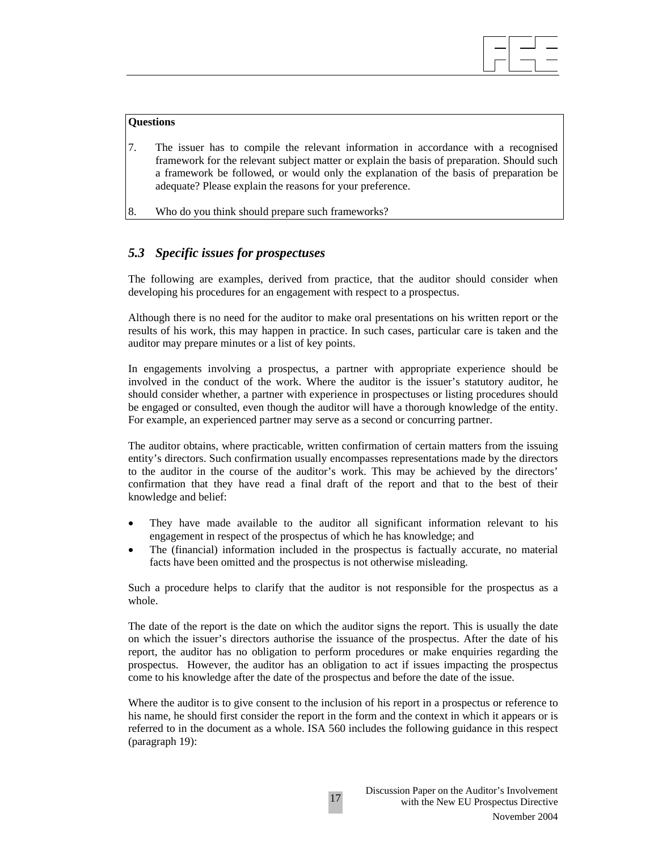#### **Questions**

7. The issuer has to compile the relevant information in accordance with a recognised framework for the relevant subject matter or explain the basis of preparation. Should such a framework be followed, or would only the explanation of the basis of preparation be adequate? Please explain the reasons for your preference.

 $\overline{\phantom{a}}$ 

8. Who do you think should prepare such frameworks?

## *5.3 Specific issues for prospectuses*

The following are examples, derived from practice, that the auditor should consider when developing his procedures for an engagement with respect to a prospectus.

Although there is no need for the auditor to make oral presentations on his written report or the results of his work, this may happen in practice. In such cases, particular care is taken and the auditor may prepare minutes or a list of key points.

In engagements involving a prospectus, a partner with appropriate experience should be involved in the conduct of the work. Where the auditor is the issuer's statutory auditor, he should consider whether, a partner with experience in prospectuses or listing procedures should be engaged or consulted, even though the auditor will have a thorough knowledge of the entity. For example, an experienced partner may serve as a second or concurring partner.

The auditor obtains, where practicable, written confirmation of certain matters from the issuing entity's directors. Such confirmation usually encompasses representations made by the directors to the auditor in the course of the auditor's work. This may be achieved by the directors' confirmation that they have read a final draft of the report and that to the best of their knowledge and belief:

- They have made available to the auditor all significant information relevant to his engagement in respect of the prospectus of which he has knowledge; and
- The (financial) information included in the prospectus is factually accurate, no material facts have been omitted and the prospectus is not otherwise misleading.

Such a procedure helps to clarify that the auditor is not responsible for the prospectus as a whole.

The date of the report is the date on which the auditor signs the report. This is usually the date on which the issuer's directors authorise the issuance of the prospectus. After the date of his report, the auditor has no obligation to perform procedures or make enquiries regarding the prospectus. However, the auditor has an obligation to act if issues impacting the prospectus come to his knowledge after the date of the prospectus and before the date of the issue.

Where the auditor is to give consent to the inclusion of his report in a prospectus or reference to his name, he should first consider the report in the form and the context in which it appears or is referred to in the document as a whole. ISA 560 includes the following guidance in this respect (paragraph 19):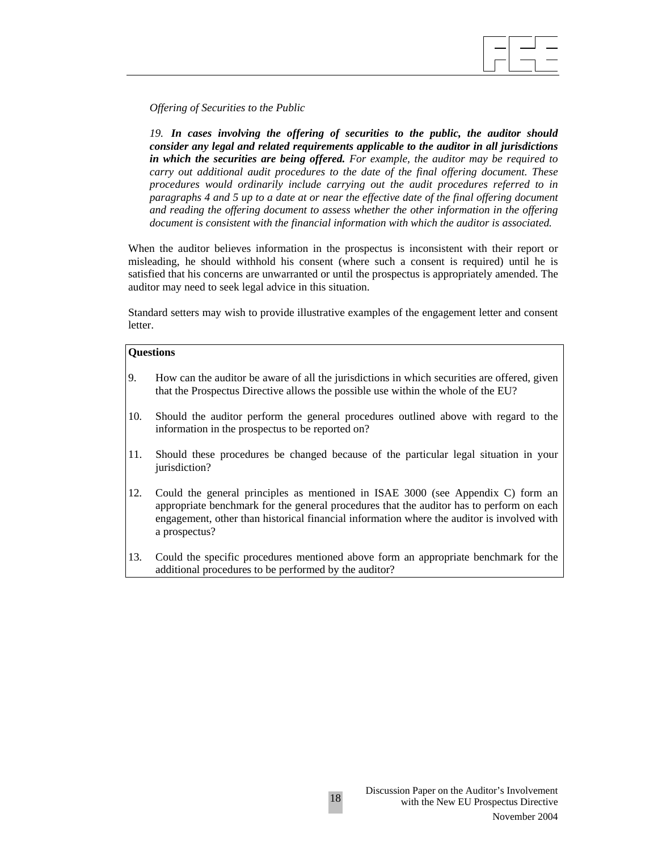

*Offering of Securities to the Public* 

*19. In cases involving the offering of securities to the public, the auditor should consider any legal and related requirements applicable to the auditor in all jurisdictions in which the securities are being offered. For example, the auditor may be required to carry out additional audit procedures to the date of the final offering document. These procedures would ordinarily include carrying out the audit procedures referred to in paragraphs 4 and 5 up to a date at or near the effective date of the final offering document and reading the offering document to assess whether the other information in the offering document is consistent with the financial information with which the auditor is associated.*

When the auditor believes information in the prospectus is inconsistent with their report or misleading, he should withhold his consent (where such a consent is required) until he is satisfied that his concerns are unwarranted or until the prospectus is appropriately amended. The auditor may need to seek legal advice in this situation.

Standard setters may wish to provide illustrative examples of the engagement letter and consent letter.

### **Questions**

- 9. How can the auditor be aware of all the jurisdictions in which securities are offered, given that the Prospectus Directive allows the possible use within the whole of the EU?
- 10. Should the auditor perform the general procedures outlined above with regard to the information in the prospectus to be reported on?
- 11. Should these procedures be changed because of the particular legal situation in your jurisdiction?
- 12. Could the general principles as mentioned in ISAE 3000 (see Appendix C) form an appropriate benchmark for the general procedures that the auditor has to perform on each engagement, other than historical financial information where the auditor is involved with a prospectus?
- 13. Could the specific procedures mentioned above form an appropriate benchmark for the additional procedures to be performed by the auditor?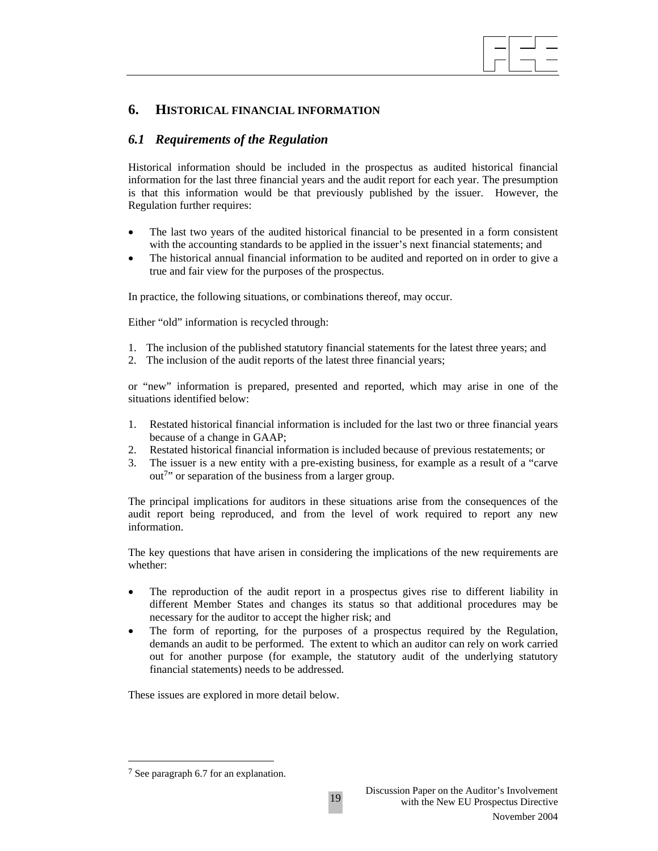

## **6. HISTORICAL FINANCIAL INFORMATION**

## *6.1 Requirements of the Regulation*

Historical information should be included in the prospectus as audited historical financial information for the last three financial years and the audit report for each year. The presumption is that this information would be that previously published by the issuer. However, the Regulation further requires:

- The last two years of the audited historical financial to be presented in a form consistent with the accounting standards to be applied in the issuer's next financial statements; and
- The historical annual financial information to be audited and reported on in order to give a true and fair view for the purposes of the prospectus.

In practice, the following situations, or combinations thereof, may occur.

Either "old" information is recycled through:

- 1. The inclusion of the published statutory financial statements for the latest three years; and
- 2. The inclusion of the audit reports of the latest three financial years;

or "new" information is prepared, presented and reported, which may arise in one of the situations identified below:

- 1. Restated historical financial information is included for the last two or three financial years because of a change in GAAP;
- 2. Restated historical financial information is included because of previous restatements; or
- 3. The issuer is a new entity with a pre-existing business, for example as a result of a "carve out7" or separation of the business from a larger group.

The principal implications for auditors in these situations arise from the consequences of the audit report being reproduced, and from the level of work required to report any new information.

The key questions that have arisen in considering the implications of the new requirements are whether:

- The reproduction of the audit report in a prospectus gives rise to different liability in different Member States and changes its status so that additional procedures may be necessary for the auditor to accept the higher risk; and
- The form of reporting, for the purposes of a prospectus required by the Regulation, demands an audit to be performed. The extent to which an auditor can rely on work carried out for another purpose (for example, the statutory audit of the underlying statutory financial statements) needs to be addressed.

These issues are explored in more detail below.

 $\overline{\phantom{a}}$ 

<sup>7</sup> See paragraph 6.7 for an explanation.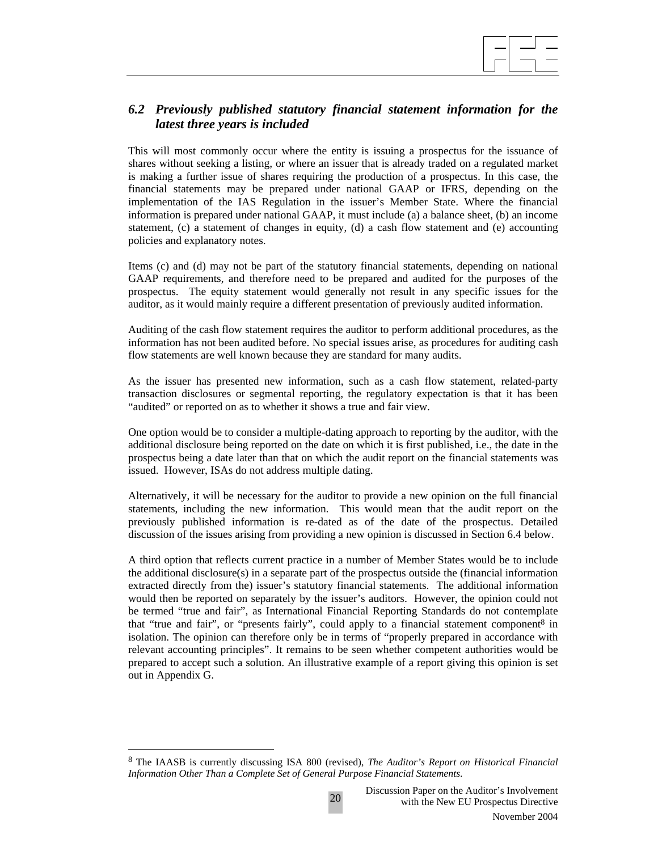

# *6.2 Previously published statutory financial statement information for the latest three years is included*

This will most commonly occur where the entity is issuing a prospectus for the issuance of shares without seeking a listing, or where an issuer that is already traded on a regulated market is making a further issue of shares requiring the production of a prospectus. In this case, the financial statements may be prepared under national GAAP or IFRS, depending on the implementation of the IAS Regulation in the issuer's Member State. Where the financial information is prepared under national GAAP, it must include (a) a balance sheet, (b) an income statement, (c) a statement of changes in equity, (d) a cash flow statement and (e) accounting policies and explanatory notes.

Items (c) and (d) may not be part of the statutory financial statements, depending on national GAAP requirements, and therefore need to be prepared and audited for the purposes of the prospectus. The equity statement would generally not result in any specific issues for the auditor, as it would mainly require a different presentation of previously audited information.

Auditing of the cash flow statement requires the auditor to perform additional procedures, as the information has not been audited before. No special issues arise, as procedures for auditing cash flow statements are well known because they are standard for many audits.

As the issuer has presented new information, such as a cash flow statement, related-party transaction disclosures or segmental reporting, the regulatory expectation is that it has been "audited" or reported on as to whether it shows a true and fair view.

One option would be to consider a multiple-dating approach to reporting by the auditor, with the additional disclosure being reported on the date on which it is first published, i.e., the date in the prospectus being a date later than that on which the audit report on the financial statements was issued. However, ISAs do not address multiple dating.

Alternatively, it will be necessary for the auditor to provide a new opinion on the full financial statements, including the new information. This would mean that the audit report on the previously published information is re-dated as of the date of the prospectus. Detailed discussion of the issues arising from providing a new opinion is discussed in Section 6.4 below.

A third option that reflects current practice in a number of Member States would be to include the additional disclosure(s) in a separate part of the prospectus outside the (financial information extracted directly from the) issuer's statutory financial statements. The additional information would then be reported on separately by the issuer's auditors. However, the opinion could not be termed "true and fair", as International Financial Reporting Standards do not contemplate that "true and fair", or "presents fairly", could apply to a financial statement component<sup>8</sup> in isolation. The opinion can therefore only be in terms of "properly prepared in accordance with relevant accounting principles". It remains to be seen whether competent authorities would be prepared to accept such a solution. An illustrative example of a report giving this opinion is set out in Appendix G.

 $\overline{a}$ 

<sup>8</sup> The IAASB is currently discussing ISA 800 (revised), *The Auditor's Report on Historical Financial Information Other Than a Complete Set of General Purpose Financial Statements*.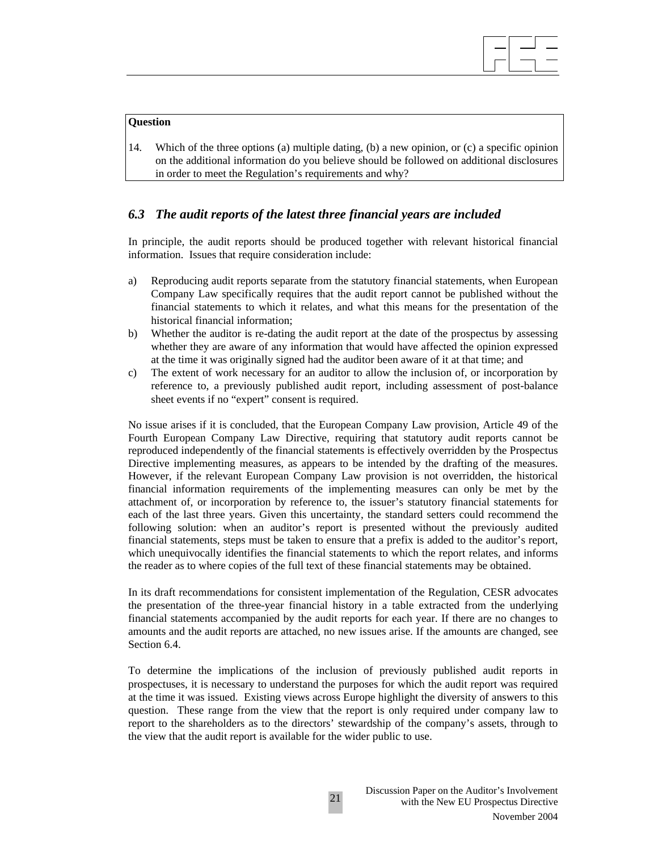# $\overline{\phantom{a}}$

#### **Question**

14. Which of the three options (a) multiple dating, (b) a new opinion, or (c) a specific opinion on the additional information do you believe should be followed on additional disclosures in order to meet the Regulation's requirements and why?

# *6.3 The audit reports of the latest three financial years are included*

In principle, the audit reports should be produced together with relevant historical financial information. Issues that require consideration include:

- a) Reproducing audit reports separate from the statutory financial statements, when European Company Law specifically requires that the audit report cannot be published without the financial statements to which it relates, and what this means for the presentation of the historical financial information;
- b) Whether the auditor is re-dating the audit report at the date of the prospectus by assessing whether they are aware of any information that would have affected the opinion expressed at the time it was originally signed had the auditor been aware of it at that time; and
- c) The extent of work necessary for an auditor to allow the inclusion of, or incorporation by reference to, a previously published audit report, including assessment of post-balance sheet events if no "expert" consent is required.

No issue arises if it is concluded, that the European Company Law provision, Article 49 of the Fourth European Company Law Directive, requiring that statutory audit reports cannot be reproduced independently of the financial statements is effectively overridden by the Prospectus Directive implementing measures, as appears to be intended by the drafting of the measures. However, if the relevant European Company Law provision is not overridden, the historical financial information requirements of the implementing measures can only be met by the attachment of, or incorporation by reference to, the issuer's statutory financial statements for each of the last three years. Given this uncertainty, the standard setters could recommend the following solution: when an auditor's report is presented without the previously audited financial statements, steps must be taken to ensure that a prefix is added to the auditor's report, which unequivocally identifies the financial statements to which the report relates, and informs the reader as to where copies of the full text of these financial statements may be obtained.

In its draft recommendations for consistent implementation of the Regulation, CESR advocates the presentation of the three-year financial history in a table extracted from the underlying financial statements accompanied by the audit reports for each year. If there are no changes to amounts and the audit reports are attached, no new issues arise. If the amounts are changed, see Section 6.4.

To determine the implications of the inclusion of previously published audit reports in prospectuses, it is necessary to understand the purposes for which the audit report was required at the time it was issued. Existing views across Europe highlight the diversity of answers to this question. These range from the view that the report is only required under company law to report to the shareholders as to the directors' stewardship of the company's assets, through to the view that the audit report is available for the wider public to use.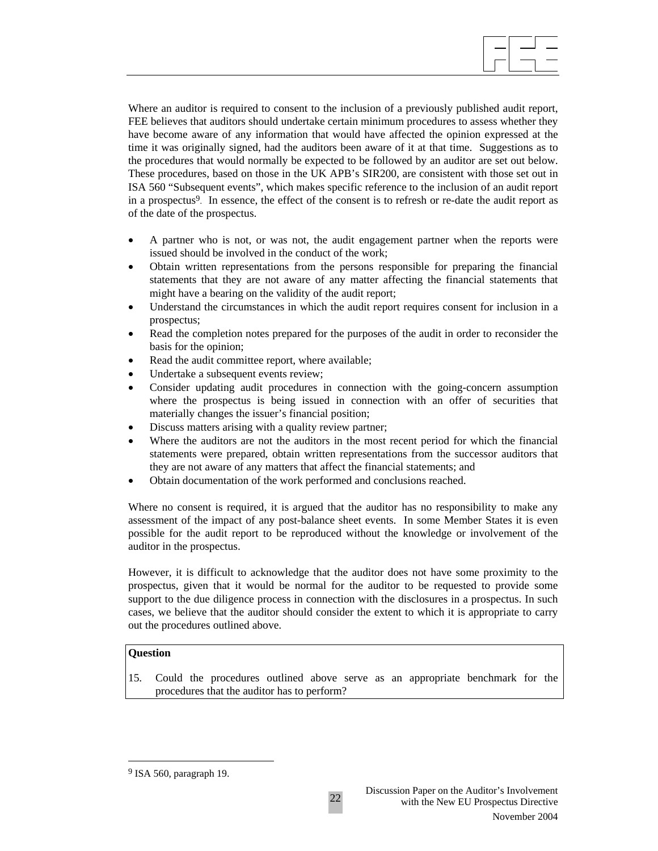$\overline{\phantom{a}}$ 

Where an auditor is required to consent to the inclusion of a previously published audit report, FEE believes that auditors should undertake certain minimum procedures to assess whether they have become aware of any information that would have affected the opinion expressed at the time it was originally signed, had the auditors been aware of it at that time. Suggestions as to the procedures that would normally be expected to be followed by an auditor are set out below. These procedures, based on those in the UK APB's SIR200, are consistent with those set out in ISA 560 "Subsequent events", which makes specific reference to the inclusion of an audit report in a prospectus<sup>9</sup>. In essence, the effect of the consent is to refresh or re-date the audit report as of the date of the prospectus.

- A partner who is not, or was not, the audit engagement partner when the reports were issued should be involved in the conduct of the work;
- Obtain written representations from the persons responsible for preparing the financial statements that they are not aware of any matter affecting the financial statements that might have a bearing on the validity of the audit report;
- Understand the circumstances in which the audit report requires consent for inclusion in a prospectus;
- Read the completion notes prepared for the purposes of the audit in order to reconsider the basis for the opinion;
- Read the audit committee report, where available;
- Undertake a subsequent events review;
- Consider updating audit procedures in connection with the going-concern assumption where the prospectus is being issued in connection with an offer of securities that materially changes the issuer's financial position;
- Discuss matters arising with a quality review partner;
- Where the auditors are not the auditors in the most recent period for which the financial statements were prepared, obtain written representations from the successor auditors that they are not aware of any matters that affect the financial statements; and
- Obtain documentation of the work performed and conclusions reached.

Where no consent is required, it is argued that the auditor has no responsibility to make any assessment of the impact of any post-balance sheet events. In some Member States it is even possible for the audit report to be reproduced without the knowledge or involvement of the auditor in the prospectus.

However, it is difficult to acknowledge that the auditor does not have some proximity to the prospectus, given that it would be normal for the auditor to be requested to provide some support to the due diligence process in connection with the disclosures in a prospectus. In such cases, we believe that the auditor should consider the extent to which it is appropriate to carry out the procedures outlined above.

#### **Question**

 $\overline{\phantom{a}}$ 

15. Could the procedures outlined above serve as an appropriate benchmark for the procedures that the auditor has to perform?

<sup>9</sup> ISA 560, paragraph 19.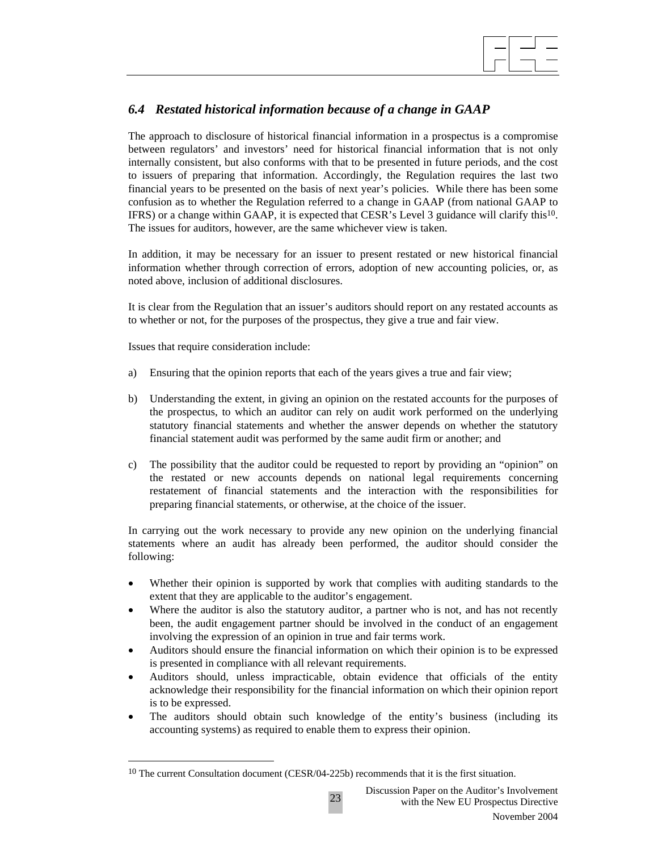

# *6.4 Restated historical information because of a change in GAAP*

The approach to disclosure of historical financial information in a prospectus is a compromise between regulators' and investors' need for historical financial information that is not only internally consistent, but also conforms with that to be presented in future periods, and the cost to issuers of preparing that information. Accordingly, the Regulation requires the last two financial years to be presented on the basis of next year's policies. While there has been some confusion as to whether the Regulation referred to a change in GAAP (from national GAAP to IFRS) or a change within GAAP, it is expected that CESR's Level 3 guidance will clarify this10. The issues for auditors, however, are the same whichever view is taken.

In addition, it may be necessary for an issuer to present restated or new historical financial information whether through correction of errors, adoption of new accounting policies, or, as noted above, inclusion of additional disclosures.

It is clear from the Regulation that an issuer's auditors should report on any restated accounts as to whether or not, for the purposes of the prospectus, they give a true and fair view.

Issues that require consideration include:

 $\overline{\phantom{a}}$ 

- a) Ensuring that the opinion reports that each of the years gives a true and fair view;
- b) Understanding the extent, in giving an opinion on the restated accounts for the purposes of the prospectus, to which an auditor can rely on audit work performed on the underlying statutory financial statements and whether the answer depends on whether the statutory financial statement audit was performed by the same audit firm or another; and
- c) The possibility that the auditor could be requested to report by providing an "opinion" on the restated or new accounts depends on national legal requirements concerning restatement of financial statements and the interaction with the responsibilities for preparing financial statements, or otherwise, at the choice of the issuer.

In carrying out the work necessary to provide any new opinion on the underlying financial statements where an audit has already been performed, the auditor should consider the following:

- Whether their opinion is supported by work that complies with auditing standards to the extent that they are applicable to the auditor's engagement.
- Where the auditor is also the statutory auditor, a partner who is not, and has not recently been, the audit engagement partner should be involved in the conduct of an engagement involving the expression of an opinion in true and fair terms work.
- Auditors should ensure the financial information on which their opinion is to be expressed is presented in compliance with all relevant requirements.
- Auditors should, unless impracticable, obtain evidence that officials of the entity acknowledge their responsibility for the financial information on which their opinion report is to be expressed.
- The auditors should obtain such knowledge of the entity's business (including its accounting systems) as required to enable them to express their opinion.

<sup>&</sup>lt;sup>10</sup> The current Consultation document (CESR/04-225b) recommends that it is the first situation.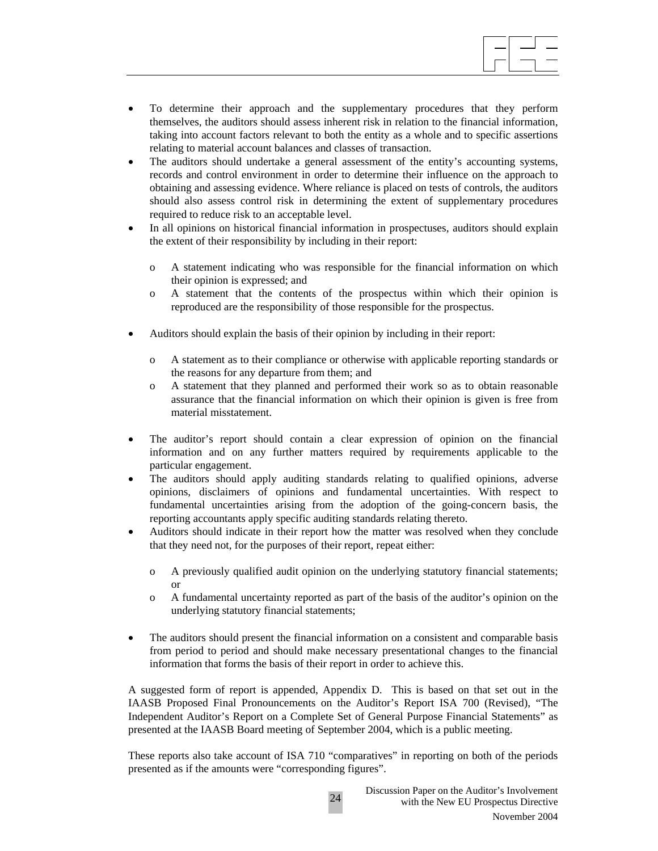

- To determine their approach and the supplementary procedures that they perform themselves, the auditors should assess inherent risk in relation to the financial information, taking into account factors relevant to both the entity as a whole and to specific assertions relating to material account balances and classes of transaction.
- The auditors should undertake a general assessment of the entity's accounting systems, records and control environment in order to determine their influence on the approach to obtaining and assessing evidence. Where reliance is placed on tests of controls, the auditors should also assess control risk in determining the extent of supplementary procedures required to reduce risk to an acceptable level.
- In all opinions on historical financial information in prospectuses, auditors should explain the extent of their responsibility by including in their report:
	- o A statement indicating who was responsible for the financial information on which their opinion is expressed; and
	- o A statement that the contents of the prospectus within which their opinion is reproduced are the responsibility of those responsible for the prospectus.
- Auditors should explain the basis of their opinion by including in their report:
	- o A statement as to their compliance or otherwise with applicable reporting standards or the reasons for any departure from them; and
	- o A statement that they planned and performed their work so as to obtain reasonable assurance that the financial information on which their opinion is given is free from material misstatement.
- The auditor's report should contain a clear expression of opinion on the financial information and on any further matters required by requirements applicable to the particular engagement.
- The auditors should apply auditing standards relating to qualified opinions, adverse opinions, disclaimers of opinions and fundamental uncertainties. With respect to fundamental uncertainties arising from the adoption of the going-concern basis, the reporting accountants apply specific auditing standards relating thereto.
- Auditors should indicate in their report how the matter was resolved when they conclude that they need not, for the purposes of their report, repeat either:
	- o A previously qualified audit opinion on the underlying statutory financial statements; or
	- o A fundamental uncertainty reported as part of the basis of the auditor's opinion on the underlying statutory financial statements;
- The auditors should present the financial information on a consistent and comparable basis from period to period and should make necessary presentational changes to the financial information that forms the basis of their report in order to achieve this.

A suggested form of report is appended, Appendix D. This is based on that set out in the IAASB Proposed Final Pronouncements on the Auditor's Report ISA 700 (Revised), "The Independent Auditor's Report on a Complete Set of General Purpose Financial Statements" as presented at the IAASB Board meeting of September 2004, which is a public meeting.

These reports also take account of ISA 710 "comparatives" in reporting on both of the periods presented as if the amounts were "corresponding figures".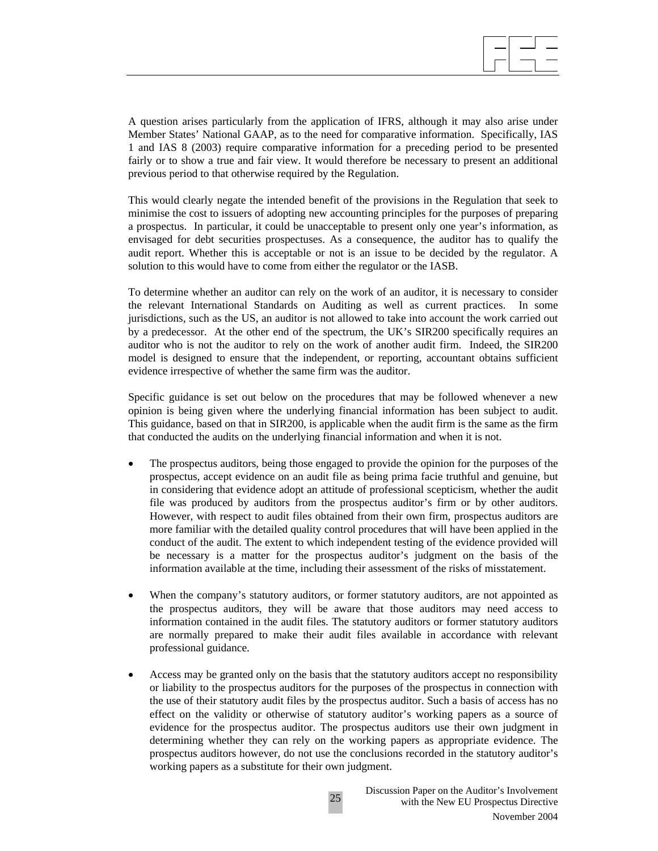

A question arises particularly from the application of IFRS, although it may also arise under Member States' National GAAP, as to the need for comparative information. Specifically, IAS 1 and IAS 8 (2003) require comparative information for a preceding period to be presented fairly or to show a true and fair view. It would therefore be necessary to present an additional previous period to that otherwise required by the Regulation.

This would clearly negate the intended benefit of the provisions in the Regulation that seek to minimise the cost to issuers of adopting new accounting principles for the purposes of preparing a prospectus. In particular, it could be unacceptable to present only one year's information, as envisaged for debt securities prospectuses. As a consequence, the auditor has to qualify the audit report. Whether this is acceptable or not is an issue to be decided by the regulator. A solution to this would have to come from either the regulator or the IASB.

To determine whether an auditor can rely on the work of an auditor, it is necessary to consider the relevant International Standards on Auditing as well as current practices. In some jurisdictions, such as the US, an auditor is not allowed to take into account the work carried out by a predecessor. At the other end of the spectrum, the UK's SIR200 specifically requires an auditor who is not the auditor to rely on the work of another audit firm. Indeed, the SIR200 model is designed to ensure that the independent, or reporting, accountant obtains sufficient evidence irrespective of whether the same firm was the auditor.

Specific guidance is set out below on the procedures that may be followed whenever a new opinion is being given where the underlying financial information has been subject to audit. This guidance, based on that in SIR200, is applicable when the audit firm is the same as the firm that conducted the audits on the underlying financial information and when it is not.

- The prospectus auditors, being those engaged to provide the opinion for the purposes of the prospectus, accept evidence on an audit file as being prima facie truthful and genuine, but in considering that evidence adopt an attitude of professional scepticism, whether the audit file was produced by auditors from the prospectus auditor's firm or by other auditors. However, with respect to audit files obtained from their own firm, prospectus auditors are more familiar with the detailed quality control procedures that will have been applied in the conduct of the audit. The extent to which independent testing of the evidence provided will be necessary is a matter for the prospectus auditor's judgment on the basis of the information available at the time, including their assessment of the risks of misstatement.
- When the company's statutory auditors, or former statutory auditors, are not appointed as the prospectus auditors, they will be aware that those auditors may need access to information contained in the audit files. The statutory auditors or former statutory auditors are normally prepared to make their audit files available in accordance with relevant professional guidance.
- Access may be granted only on the basis that the statutory auditors accept no responsibility or liability to the prospectus auditors for the purposes of the prospectus in connection with the use of their statutory audit files by the prospectus auditor. Such a basis of access has no effect on the validity or otherwise of statutory auditor's working papers as a source of evidence for the prospectus auditor. The prospectus auditors use their own judgment in determining whether they can rely on the working papers as appropriate evidence. The prospectus auditors however, do not use the conclusions recorded in the statutory auditor's working papers as a substitute for their own judgment.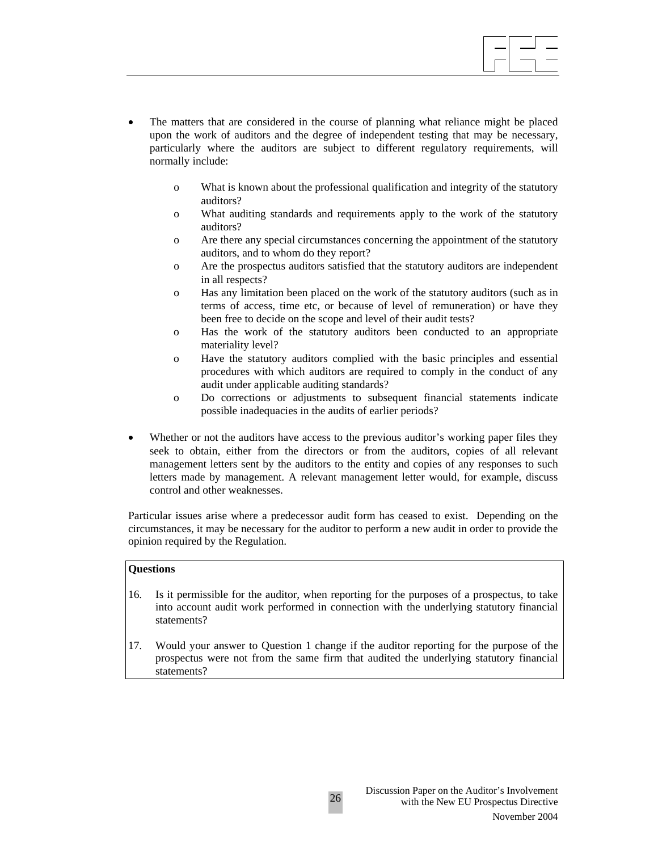

- The matters that are considered in the course of planning what reliance might be placed upon the work of auditors and the degree of independent testing that may be necessary, particularly where the auditors are subject to different regulatory requirements, will normally include:
	- o What is known about the professional qualification and integrity of the statutory auditors?
	- o What auditing standards and requirements apply to the work of the statutory auditors?
	- o Are there any special circumstances concerning the appointment of the statutory auditors, and to whom do they report?
	- o Are the prospectus auditors satisfied that the statutory auditors are independent in all respects?
	- o Has any limitation been placed on the work of the statutory auditors (such as in terms of access, time etc, or because of level of remuneration) or have they been free to decide on the scope and level of their audit tests?
	- o Has the work of the statutory auditors been conducted to an appropriate materiality level?
	- o Have the statutory auditors complied with the basic principles and essential procedures with which auditors are required to comply in the conduct of any audit under applicable auditing standards?
	- o Do corrections or adjustments to subsequent financial statements indicate possible inadequacies in the audits of earlier periods?
- Whether or not the auditors have access to the previous auditor's working paper files they seek to obtain, either from the directors or from the auditors, copies of all relevant management letters sent by the auditors to the entity and copies of any responses to such letters made by management. A relevant management letter would, for example, discuss control and other weaknesses.

Particular issues arise where a predecessor audit form has ceased to exist. Depending on the circumstances, it may be necessary for the auditor to perform a new audit in order to provide the opinion required by the Regulation.

#### **Questions**

- 16. Is it permissible for the auditor, when reporting for the purposes of a prospectus, to take into account audit work performed in connection with the underlying statutory financial statements?
- 17. Would your answer to Question 1 change if the auditor reporting for the purpose of the prospectus were not from the same firm that audited the underlying statutory financial statements?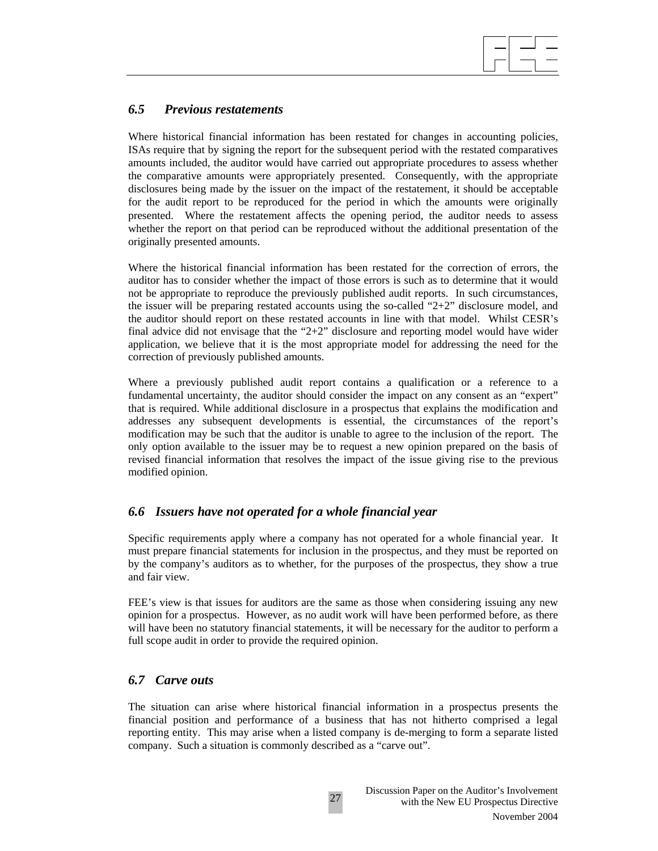## *6.5 Previous restatements*

Where historical financial information has been restated for changes in accounting policies, ISAs require that by signing the report for the subsequent period with the restated comparatives amounts included, the auditor would have carried out appropriate procedures to assess whether the comparative amounts were appropriately presented. Consequently, with the appropriate disclosures being made by the issuer on the impact of the restatement, it should be acceptable for the audit report to be reproduced for the period in which the amounts were originally presented. Where the restatement affects the opening period, the auditor needs to assess whether the report on that period can be reproduced without the additional presentation of the originally presented amounts.

 $\overline{\phantom{a}}$ 

Where the historical financial information has been restated for the correction of errors, the auditor has to consider whether the impact of those errors is such as to determine that it would not be appropriate to reproduce the previously published audit reports. In such circumstances, the issuer will be preparing restated accounts using the so-called " $2+2$ " disclosure model, and the auditor should report on these restated accounts in line with that model. Whilst CESR's final advice did not envisage that the "2+2" disclosure and reporting model would have wider application, we believe that it is the most appropriate model for addressing the need for the correction of previously published amounts.

Where a previously published audit report contains a qualification or a reference to a fundamental uncertainty, the auditor should consider the impact on any consent as an "expert" that is required. While additional disclosure in a prospectus that explains the modification and addresses any subsequent developments is essential, the circumstances of the report's modification may be such that the auditor is unable to agree to the inclusion of the report. The only option available to the issuer may be to request a new opinion prepared on the basis of revised financial information that resolves the impact of the issue giving rise to the previous modified opinion.

## *6.6 Issuers have not operated for a whole financial year*

Specific requirements apply where a company has not operated for a whole financial year. It must prepare financial statements for inclusion in the prospectus, and they must be reported on by the company's auditors as to whether, for the purposes of the prospectus, they show a true and fair view.

FEE's view is that issues for auditors are the same as those when considering issuing any new opinion for a prospectus. However, as no audit work will have been performed before, as there will have been no statutory financial statements, it will be necessary for the auditor to perform a full scope audit in order to provide the required opinion.

## *6.7 Carve outs*

The situation can arise where historical financial information in a prospectus presents the financial position and performance of a business that has not hitherto comprised a legal reporting entity. This may arise when a listed company is de-merging to form a separate listed company. Such a situation is commonly described as a "carve out".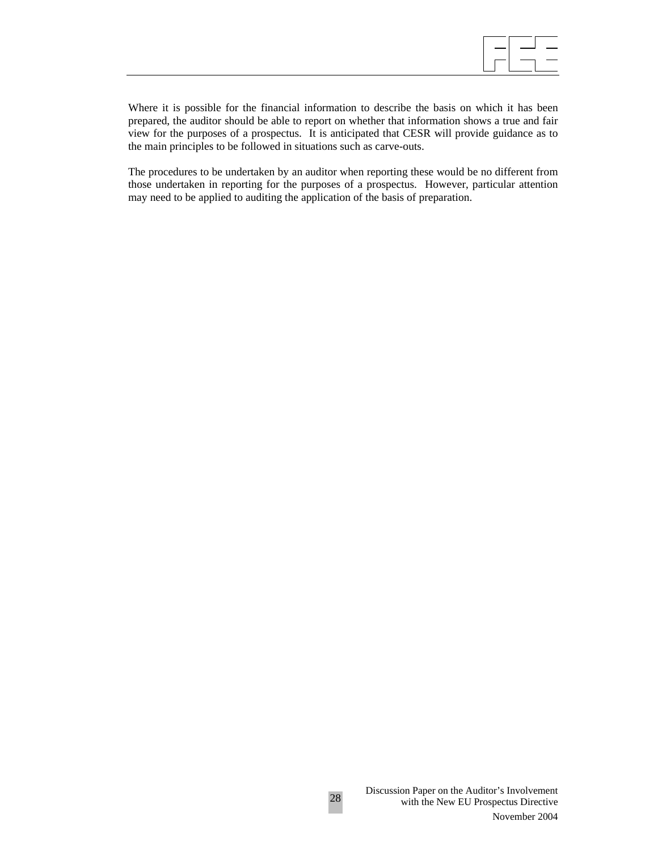

Where it is possible for the financial information to describe the basis on which it has been prepared, the auditor should be able to report on whether that information shows a true and fair view for the purposes of a prospectus. It is anticipated that CESR will provide guidance as to the main principles to be followed in situations such as carve-outs.

The procedures to be undertaken by an auditor when reporting these would be no different from those undertaken in reporting for the purposes of a prospectus. However, particular attention may need to be applied to auditing the application of the basis of preparation.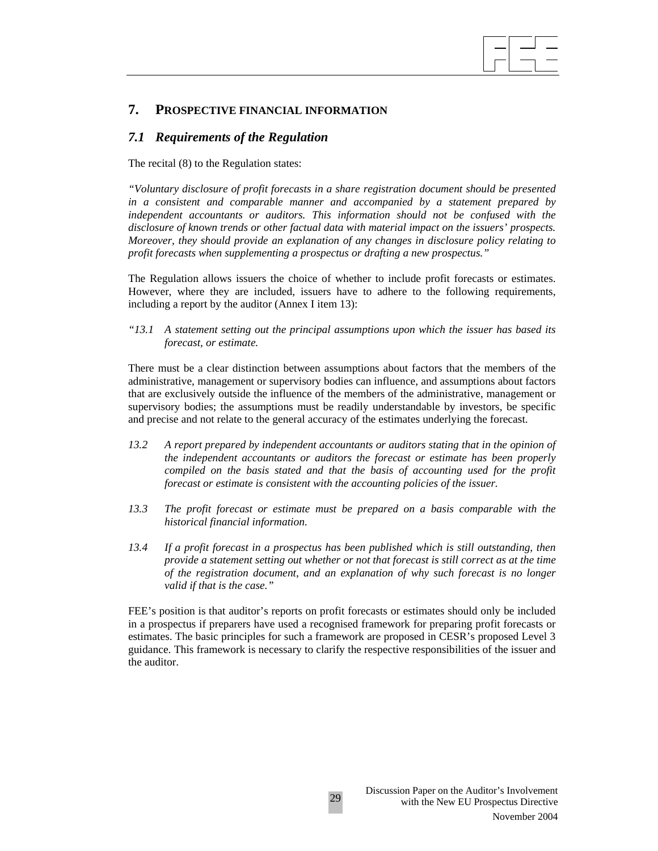# **7. PROSPECTIVE FINANCIAL INFORMATION**

## *7.1 Requirements of the Regulation*

The recital (8) to the Regulation states:

*"Voluntary disclosure of profit forecasts in a share registration document should be presented in a consistent and comparable manner and accompanied by a statement prepared by*  independent accountants or auditors. This information should not be confused with the *disclosure of known trends or other factual data with material impact on the issuers' prospects. Moreover, they should provide an explanation of any changes in disclosure policy relating to profit forecasts when supplementing a prospectus or drafting a new prospectus."* 

 $\overline{\phantom{a}}$ 

The Regulation allows issuers the choice of whether to include profit forecasts or estimates. However, where they are included, issuers have to adhere to the following requirements, including a report by the auditor (Annex I item 13):

*"13.1 A statement setting out the principal assumptions upon which the issuer has based its forecast, or estimate.* 

There must be a clear distinction between assumptions about factors that the members of the administrative, management or supervisory bodies can influence, and assumptions about factors that are exclusively outside the influence of the members of the administrative, management or supervisory bodies; the assumptions must be readily understandable by investors, be specific and precise and not relate to the general accuracy of the estimates underlying the forecast.

- *13.2 A report prepared by independent accountants or auditors stating that in the opinion of the independent accountants or auditors the forecast or estimate has been properly compiled on the basis stated and that the basis of accounting used for the profit forecast or estimate is consistent with the accounting policies of the issuer.*
- *13.3 The profit forecast or estimate must be prepared on a basis comparable with the historical financial information.*
- *13.4 If a profit forecast in a prospectus has been published which is still outstanding, then provide a statement setting out whether or not that forecast is still correct as at the time of the registration document, and an explanation of why such forecast is no longer valid if that is the case."*

FEE's position is that auditor's reports on profit forecasts or estimates should only be included in a prospectus if preparers have used a recognised framework for preparing profit forecasts or estimates. The basic principles for such a framework are proposed in CESR's proposed Level 3 guidance. This framework is necessary to clarify the respective responsibilities of the issuer and the auditor.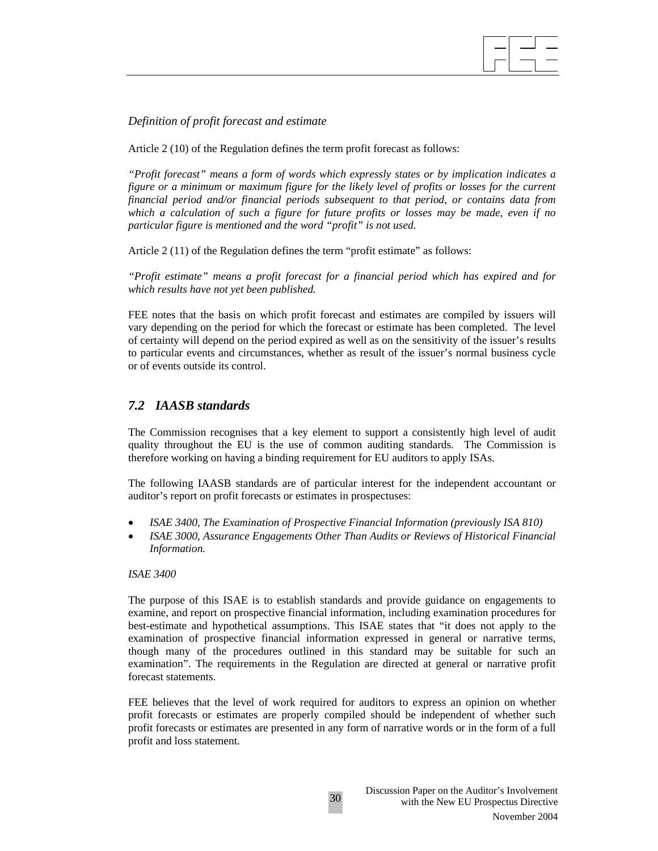*Definition of profit forecast and estimate* 

Article 2 (10) of the Regulation defines the term profit forecast as follows:

*"Profit forecast" means a form of words which expressly states or by implication indicates a figure or a minimum or maximum figure for the likely level of profits or losses for the current financial period and/or financial periods subsequent to that period, or contains data from which a calculation of such a figure for future profits or losses may be made, even if no particular figure is mentioned and the word "profit" is not used.* 

 $\overline{\phantom{a}}$ 

Article 2 (11) of the Regulation defines the term "profit estimate" as follows:

*"Profit estimate" means a profit forecast for a financial period which has expired and for which results have not yet been published.* 

FEE notes that the basis on which profit forecast and estimates are compiled by issuers will vary depending on the period for which the forecast or estimate has been completed. The level of certainty will depend on the period expired as well as on the sensitivity of the issuer's results to particular events and circumstances, whether as result of the issuer's normal business cycle or of events outside its control.

## *7.2 IAASB standards*

The Commission recognises that a key element to support a consistently high level of audit quality throughout the EU is the use of common auditing standards. The Commission is therefore working on having a binding requirement for EU auditors to apply ISAs.

The following IAASB standards are of particular interest for the independent accountant or auditor's report on profit forecasts or estimates in prospectuses:

- *ISAE 3400, The Examination of Prospective Financial Information (previously ISA 810)*
- *ISAE 3000, Assurance Engagements Other Than Audits or Reviews of Historical Financial Information.*

#### *ISAE 3400*

The purpose of this ISAE is to establish standards and provide guidance on engagements to examine, and report on prospective financial information, including examination procedures for best-estimate and hypothetical assumptions. This ISAE states that "it does not apply to the examination of prospective financial information expressed in general or narrative terms, though many of the procedures outlined in this standard may be suitable for such an examination". The requirements in the Regulation are directed at general or narrative profit forecast statements.

FEE believes that the level of work required for auditors to express an opinion on whether profit forecasts or estimates are properly compiled should be independent of whether such profit forecasts or estimates are presented in any form of narrative words or in the form of a full profit and loss statement.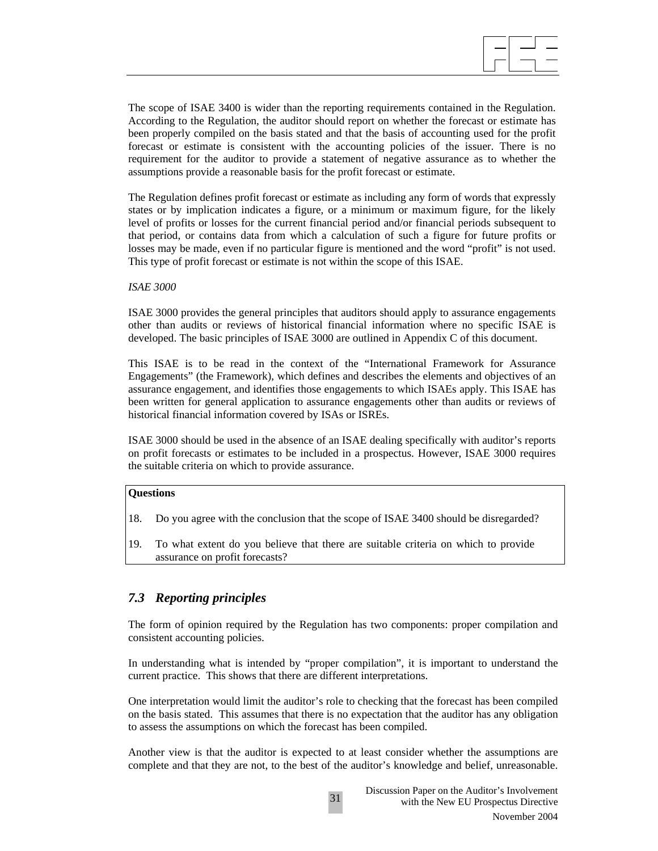$\overline{\phantom{a}}$ 

The scope of ISAE 3400 is wider than the reporting requirements contained in the Regulation. According to the Regulation, the auditor should report on whether the forecast or estimate has been properly compiled on the basis stated and that the basis of accounting used for the profit forecast or estimate is consistent with the accounting policies of the issuer. There is no requirement for the auditor to provide a statement of negative assurance as to whether the assumptions provide a reasonable basis for the profit forecast or estimate.

The Regulation defines profit forecast or estimate as including any form of words that expressly states or by implication indicates a figure, or a minimum or maximum figure, for the likely level of profits or losses for the current financial period and/or financial periods subsequent to that period, or contains data from which a calculation of such a figure for future profits or losses may be made, even if no particular figure is mentioned and the word "profit" is not used. This type of profit forecast or estimate is not within the scope of this ISAE.

#### *ISAE 3000*

ISAE 3000 provides the general principles that auditors should apply to assurance engagements other than audits or reviews of historical financial information where no specific ISAE is developed. The basic principles of ISAE 3000 are outlined in Appendix C of this document.

This ISAE is to be read in the context of the "International Framework for Assurance Engagements" (the Framework), which defines and describes the elements and objectives of an assurance engagement, and identifies those engagements to which ISAEs apply. This ISAE has been written for general application to assurance engagements other than audits or reviews of historical financial information covered by ISAs or ISREs.

ISAE 3000 should be used in the absence of an ISAE dealing specifically with auditor's reports on profit forecasts or estimates to be included in a prospectus. However, ISAE 3000 requires the suitable criteria on which to provide assurance.

#### **Questions**

- 18. Do you agree with the conclusion that the scope of ISAE 3400 should be disregarded?
- 19. To what extent do you believe that there are suitable criteria on which to provide assurance on profit forecasts?

## *7.3 Reporting principles*

The form of opinion required by the Regulation has two components: proper compilation and consistent accounting policies.

In understanding what is intended by "proper compilation", it is important to understand the current practice. This shows that there are different interpretations.

One interpretation would limit the auditor's role to checking that the forecast has been compiled on the basis stated. This assumes that there is no expectation that the auditor has any obligation to assess the assumptions on which the forecast has been compiled.

Another view is that the auditor is expected to at least consider whether the assumptions are complete and that they are not, to the best of the auditor's knowledge and belief, unreasonable.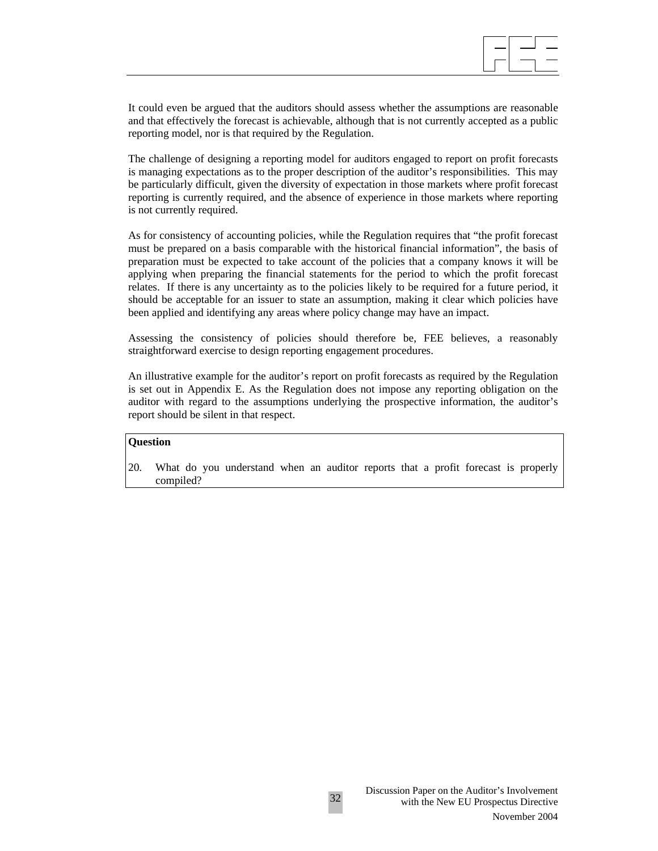

It could even be argued that the auditors should assess whether the assumptions are reasonable and that effectively the forecast is achievable, although that is not currently accepted as a public reporting model, nor is that required by the Regulation.

The challenge of designing a reporting model for auditors engaged to report on profit forecasts is managing expectations as to the proper description of the auditor's responsibilities. This may be particularly difficult, given the diversity of expectation in those markets where profit forecast reporting is currently required, and the absence of experience in those markets where reporting is not currently required.

As for consistency of accounting policies, while the Regulation requires that "the profit forecast must be prepared on a basis comparable with the historical financial information", the basis of preparation must be expected to take account of the policies that a company knows it will be applying when preparing the financial statements for the period to which the profit forecast relates. If there is any uncertainty as to the policies likely to be required for a future period, it should be acceptable for an issuer to state an assumption, making it clear which policies have been applied and identifying any areas where policy change may have an impact.

Assessing the consistency of policies should therefore be, FEE believes, a reasonably straightforward exercise to design reporting engagement procedures.

An illustrative example for the auditor's report on profit forecasts as required by the Regulation is set out in Appendix E. As the Regulation does not impose any reporting obligation on the auditor with regard to the assumptions underlying the prospective information, the auditor's report should be silent in that respect.

## **Question**

20. What do you understand when an auditor reports that a profit forecast is properly compiled?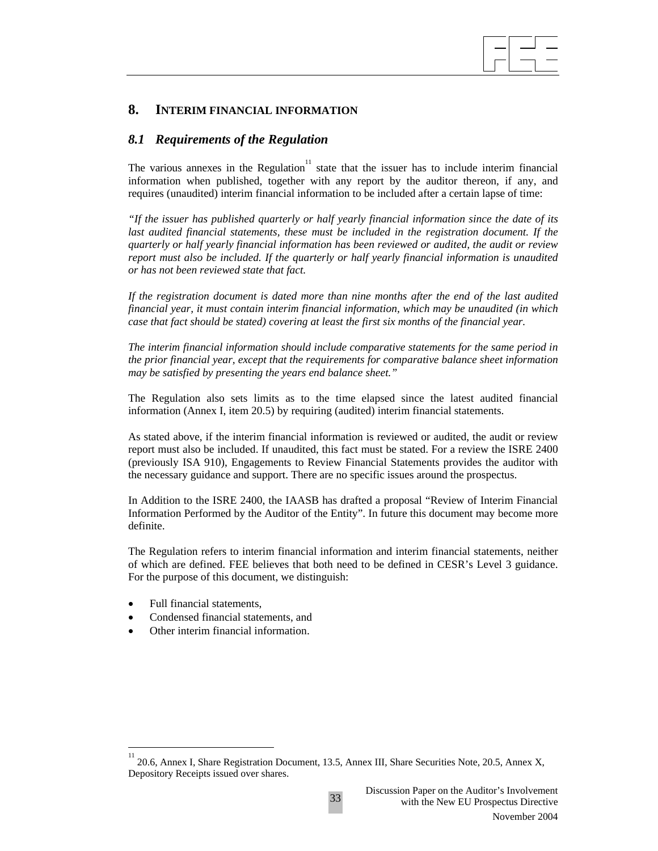## **8. INTERIM FINANCIAL INFORMATION**

## *8.1 Requirements of the Regulation*

The various annexes in the Regulation<sup>11</sup> state that the issuer has to include interim financial information when published, together with any report by the auditor thereon, if any, and requires (unaudited) interim financial information to be included after a certain lapse of time:

 $\overline{\phantom{a}}$ 

*"If the issuer has published quarterly or half yearly financial information since the date of its last audited financial statements, these must be included in the registration document. If the quarterly or half yearly financial information has been reviewed or audited, the audit or review report must also be included. If the quarterly or half yearly financial information is unaudited or has not been reviewed state that fact.* 

*If the registration document is dated more than nine months after the end of the last audited financial year, it must contain interim financial information, which may be unaudited (in which case that fact should be stated) covering at least the first six months of the financial year.* 

*The interim financial information should include comparative statements for the same period in the prior financial year, except that the requirements for comparative balance sheet information may be satisfied by presenting the years end balance sheet."*

The Regulation also sets limits as to the time elapsed since the latest audited financial information (Annex I, item 20.5) by requiring (audited) interim financial statements.

As stated above, if the interim financial information is reviewed or audited, the audit or review report must also be included. If unaudited, this fact must be stated. For a review the ISRE 2400 (previously ISA 910), Engagements to Review Financial Statements provides the auditor with the necessary guidance and support. There are no specific issues around the prospectus.

In Addition to the ISRE 2400, the IAASB has drafted a proposal "Review of Interim Financial Information Performed by the Auditor of the Entity". In future this document may become more definite.

The Regulation refers to interim financial information and interim financial statements, neither of which are defined. FEE believes that both need to be defined in CESR's Level 3 guidance. For the purpose of this document, we distinguish:

• Full financial statements,

 $\overline{a}$ 

- Condensed financial statements, and
- Other interim financial information.

<sup>11</sup> 20.6, Annex I, Share Registration Document, 13.5, Annex III, Share Securities Note, 20.5, Annex X, Depository Receipts issued over shares.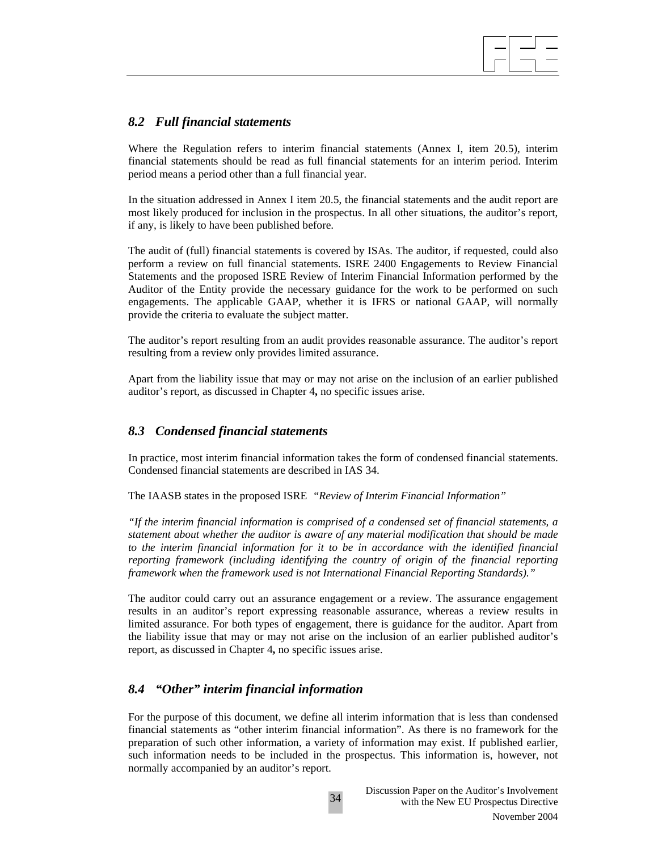## *8.2 Full financial statements*

Where the Regulation refers to interim financial statements (Annex I, item 20.5), interim financial statements should be read as full financial statements for an interim period. Interim period means a period other than a full financial year.

 $\overline{\phantom{a}}$ 

In the situation addressed in Annex I item 20.5, the financial statements and the audit report are most likely produced for inclusion in the prospectus. In all other situations, the auditor's report, if any, is likely to have been published before.

The audit of (full) financial statements is covered by ISAs. The auditor, if requested, could also perform a review on full financial statements. ISRE 2400 Engagements to Review Financial Statements and the proposed ISRE Review of Interim Financial Information performed by the Auditor of the Entity provide the necessary guidance for the work to be performed on such engagements. The applicable GAAP, whether it is IFRS or national GAAP, will normally provide the criteria to evaluate the subject matter.

The auditor's report resulting from an audit provides reasonable assurance. The auditor's report resulting from a review only provides limited assurance.

Apart from the liability issue that may or may not arise on the inclusion of an earlier published auditor's report, as discussed in Chapter 4**,** no specific issues arise.

## *8.3 Condensed financial statements*

In practice, most interim financial information takes the form of condensed financial statements. Condensed financial statements are described in IAS 34.

The IAASB states in the proposed ISRE *"Review of Interim Financial Information"* 

*"If the interim financial information is comprised of a condensed set of financial statements, a statement about whether the auditor is aware of any material modification that should be made to the interim financial information for it to be in accordance with the identified financial reporting framework (including identifying the country of origin of the financial reporting framework when the framework used is not International Financial Reporting Standards)."* 

The auditor could carry out an assurance engagement or a review. The assurance engagement results in an auditor's report expressing reasonable assurance, whereas a review results in limited assurance. For both types of engagement, there is guidance for the auditor. Apart from the liability issue that may or may not arise on the inclusion of an earlier published auditor's report, as discussed in Chapter 4**,** no specific issues arise.

## *8.4 "Other" interim financial information*

For the purpose of this document, we define all interim information that is less than condensed financial statements as "other interim financial information". As there is no framework for the preparation of such other information, a variety of information may exist. If published earlier, such information needs to be included in the prospectus. This information is, however, not normally accompanied by an auditor's report.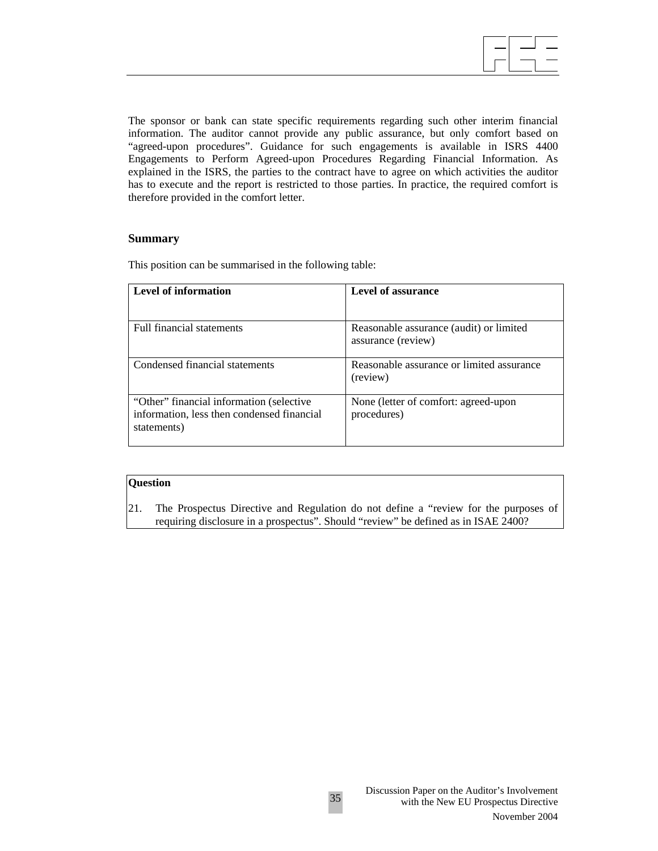The sponsor or bank can state specific requirements regarding such other interim financial information. The auditor cannot provide any public assurance, but only comfort based on "agreed-upon procedures". Guidance for such engagements is available in ISRS 4400 Engagements to Perform Agreed-upon Procedures Regarding Financial Information. As explained in the ISRS, the parties to the contract have to agree on which activities the auditor has to execute and the report is restricted to those parties. In practice, the required comfort is therefore provided in the comfort letter.

#### **Summary**

This position can be summarised in the following table:

| Level of information                                                                                  | Level of assurance                                            |
|-------------------------------------------------------------------------------------------------------|---------------------------------------------------------------|
| <b>Full financial statements</b>                                                                      | Reasonable assurance (audit) or limited<br>assurance (review) |
| Condensed financial statements                                                                        | Reasonable assurance or limited assurance<br>(review)         |
| "Other" financial information (selective<br>information, less then condensed financial<br>statements) | None (letter of comfort: agreed-upon<br>procedures)           |

## **Question**

21. The Prospectus Directive and Regulation do not define a "review for the purposes of requiring disclosure in a prospectus". Should "review" be defined as in ISAE 2400?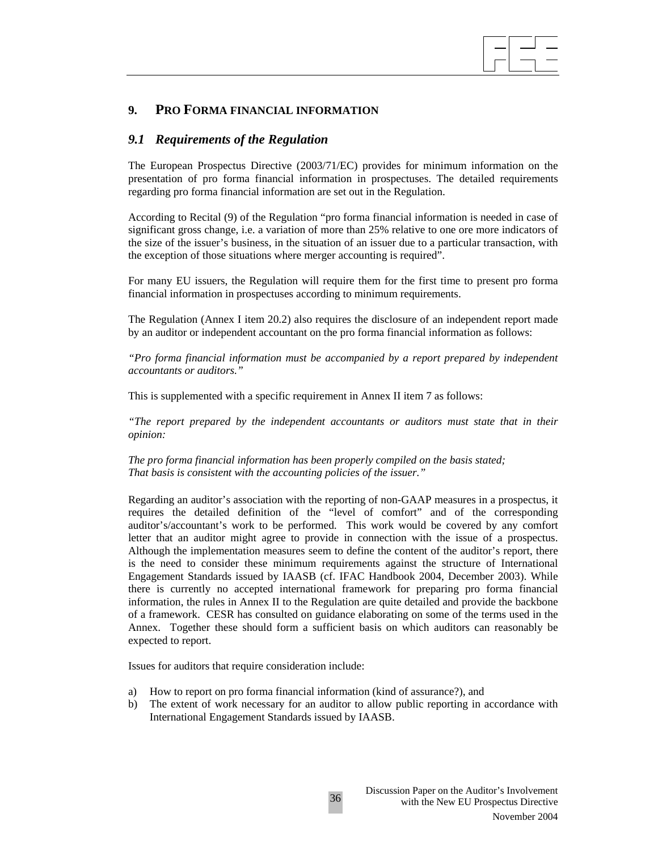

## **9. PRO FORMA FINANCIAL INFORMATION**

### *9.1 Requirements of the Regulation*

The European Prospectus Directive (2003/71/EC) provides for minimum information on the presentation of pro forma financial information in prospectuses. The detailed requirements regarding pro forma financial information are set out in the Regulation.

According to Recital (9) of the Regulation "pro forma financial information is needed in case of significant gross change, i.e. a variation of more than 25% relative to one ore more indicators of the size of the issuer's business, in the situation of an issuer due to a particular transaction, with the exception of those situations where merger accounting is required".

For many EU issuers, the Regulation will require them for the first time to present pro forma financial information in prospectuses according to minimum requirements.

The Regulation (Annex I item 20.2) also requires the disclosure of an independent report made by an auditor or independent accountant on the pro forma financial information as follows:

*"Pro forma financial information must be accompanied by a report prepared by independent accountants or auditors."* 

This is supplemented with a specific requirement in Annex II item 7 as follows:

*"The report prepared by the independent accountants or auditors must state that in their opinion:* 

*The pro forma financial information has been properly compiled on the basis stated; That basis is consistent with the accounting policies of the issuer."* 

Regarding an auditor's association with the reporting of non-GAAP measures in a prospectus, it requires the detailed definition of the "level of comfort" and of the corresponding auditor's/accountant's work to be performed. This work would be covered by any comfort letter that an auditor might agree to provide in connection with the issue of a prospectus. Although the implementation measures seem to define the content of the auditor's report, there is the need to consider these minimum requirements against the structure of International Engagement Standards issued by IAASB (cf. IFAC Handbook 2004, December 2003). While there is currently no accepted international framework for preparing pro forma financial information, the rules in Annex II to the Regulation are quite detailed and provide the backbone of a framework. CESR has consulted on guidance elaborating on some of the terms used in the Annex. Together these should form a sufficient basis on which auditors can reasonably be expected to report.

Issues for auditors that require consideration include:

- a) How to report on pro forma financial information (kind of assurance?), and
- b) The extent of work necessary for an auditor to allow public reporting in accordance with International Engagement Standards issued by IAASB.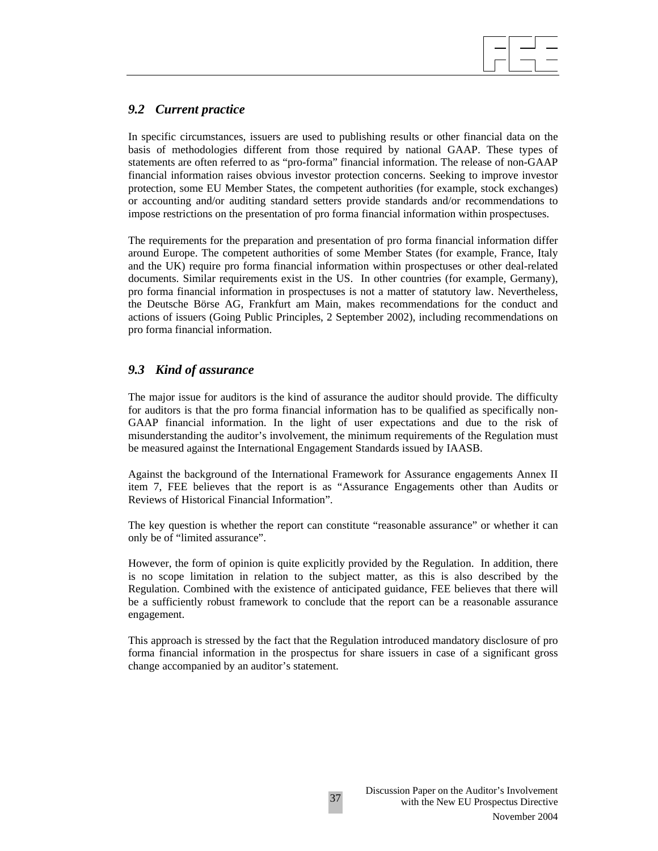

## *9.2 Current practice*

In specific circumstances, issuers are used to publishing results or other financial data on the basis of methodologies different from those required by national GAAP. These types of statements are often referred to as "pro-forma" financial information. The release of non-GAAP financial information raises obvious investor protection concerns. Seeking to improve investor protection, some EU Member States, the competent authorities (for example, stock exchanges) or accounting and/or auditing standard setters provide standards and/or recommendations to impose restrictions on the presentation of pro forma financial information within prospectuses.

The requirements for the preparation and presentation of pro forma financial information differ around Europe. The competent authorities of some Member States (for example, France, Italy and the UK) require pro forma financial information within prospectuses or other deal-related documents. Similar requirements exist in the US. In other countries (for example, Germany), pro forma financial information in prospectuses is not a matter of statutory law. Nevertheless, the Deutsche Börse AG, Frankfurt am Main, makes recommendations for the conduct and actions of issuers (Going Public Principles, 2 September 2002), including recommendations on pro forma financial information.

## *9.3 Kind of assurance*

The major issue for auditors is the kind of assurance the auditor should provide. The difficulty for auditors is that the pro forma financial information has to be qualified as specifically non-GAAP financial information. In the light of user expectations and due to the risk of misunderstanding the auditor's involvement, the minimum requirements of the Regulation must be measured against the International Engagement Standards issued by IAASB.

Against the background of the International Framework for Assurance engagements Annex II item 7, FEE believes that the report is as "Assurance Engagements other than Audits or Reviews of Historical Financial Information".

The key question is whether the report can constitute "reasonable assurance" or whether it can only be of "limited assurance".

However, the form of opinion is quite explicitly provided by the Regulation. In addition, there is no scope limitation in relation to the subject matter, as this is also described by the Regulation. Combined with the existence of anticipated guidance, FEE believes that there will be a sufficiently robust framework to conclude that the report can be a reasonable assurance engagement.

This approach is stressed by the fact that the Regulation introduced mandatory disclosure of pro forma financial information in the prospectus for share issuers in case of a significant gross change accompanied by an auditor's statement.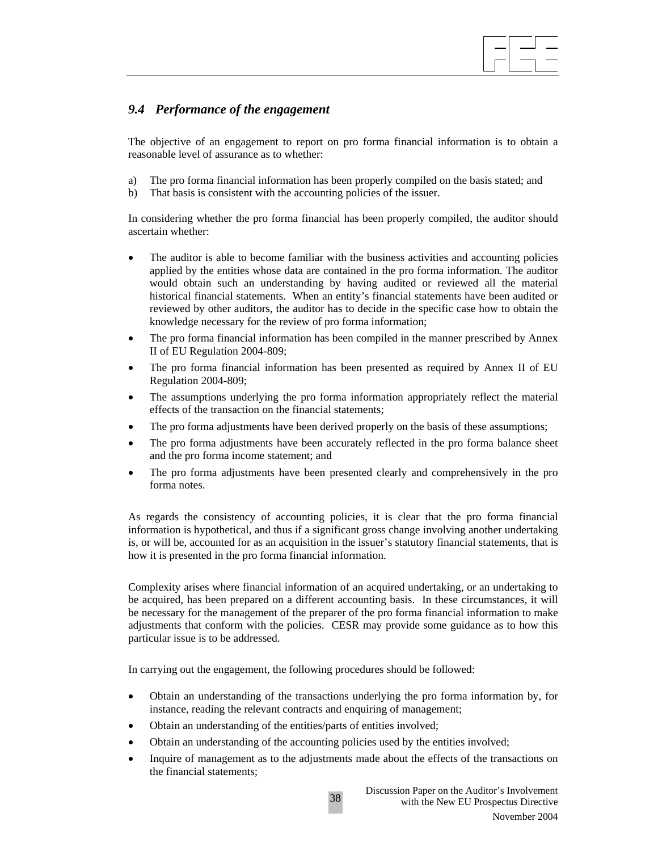# *9.4 Performance of the engagement*

The objective of an engagement to report on pro forma financial information is to obtain a reasonable level of assurance as to whether:

 $\overline{\phantom{a}}$ 

- a) The pro forma financial information has been properly compiled on the basis stated; and
- b) That basis is consistent with the accounting policies of the issuer.

In considering whether the pro forma financial has been properly compiled, the auditor should ascertain whether:

- The auditor is able to become familiar with the business activities and accounting policies applied by the entities whose data are contained in the pro forma information. The auditor would obtain such an understanding by having audited or reviewed all the material historical financial statements. When an entity's financial statements have been audited or reviewed by other auditors, the auditor has to decide in the specific case how to obtain the knowledge necessary for the review of pro forma information;
- The pro forma financial information has been compiled in the manner prescribed by Annex II of EU Regulation 2004-809;
- The pro forma financial information has been presented as required by Annex II of EU Regulation 2004-809;
- The assumptions underlying the pro forma information appropriately reflect the material effects of the transaction on the financial statements;
- The pro forma adjustments have been derived properly on the basis of these assumptions;
- The pro forma adjustments have been accurately reflected in the pro forma balance sheet and the pro forma income statement; and
- The pro forma adjustments have been presented clearly and comprehensively in the pro forma notes.

As regards the consistency of accounting policies, it is clear that the pro forma financial information is hypothetical, and thus if a significant gross change involving another undertaking is, or will be, accounted for as an acquisition in the issuer's statutory financial statements, that is how it is presented in the pro forma financial information.

Complexity arises where financial information of an acquired undertaking, or an undertaking to be acquired, has been prepared on a different accounting basis. In these circumstances, it will be necessary for the management of the preparer of the pro forma financial information to make adjustments that conform with the policies. CESR may provide some guidance as to how this particular issue is to be addressed.

In carrying out the engagement, the following procedures should be followed:

- Obtain an understanding of the transactions underlying the pro forma information by, for instance, reading the relevant contracts and enquiring of management;
- Obtain an understanding of the entities/parts of entities involved;
- Obtain an understanding of the accounting policies used by the entities involved;
- Inquire of management as to the adjustments made about the effects of the transactions on the financial statements;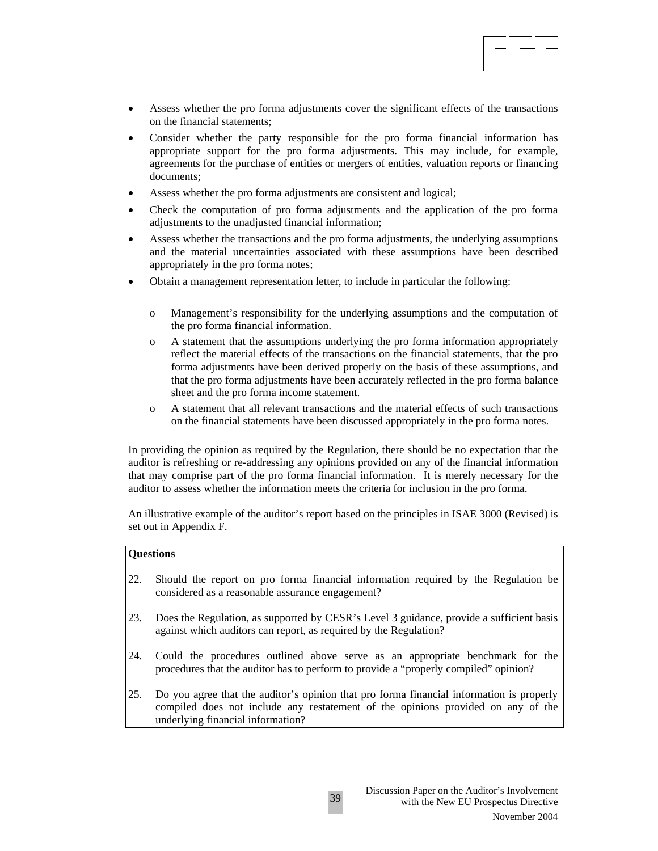

- Assess whether the pro forma adjustments cover the significant effects of the transactions on the financial statements;
- Consider whether the party responsible for the pro forma financial information has appropriate support for the pro forma adjustments. This may include, for example, agreements for the purchase of entities or mergers of entities, valuation reports or financing documents;
- Assess whether the pro forma adjustments are consistent and logical;
- Check the computation of pro forma adjustments and the application of the pro forma adjustments to the unadjusted financial information;
- Assess whether the transactions and the pro forma adjustments, the underlying assumptions and the material uncertainties associated with these assumptions have been described appropriately in the pro forma notes;
- Obtain a management representation letter, to include in particular the following:
	- o Management's responsibility for the underlying assumptions and the computation of the pro forma financial information.
	- o A statement that the assumptions underlying the pro forma information appropriately reflect the material effects of the transactions on the financial statements, that the pro forma adjustments have been derived properly on the basis of these assumptions, and that the pro forma adjustments have been accurately reflected in the pro forma balance sheet and the pro forma income statement.
	- o A statement that all relevant transactions and the material effects of such transactions on the financial statements have been discussed appropriately in the pro forma notes.

In providing the opinion as required by the Regulation, there should be no expectation that the auditor is refreshing or re-addressing any opinions provided on any of the financial information that may comprise part of the pro forma financial information. It is merely necessary for the auditor to assess whether the information meets the criteria for inclusion in the pro forma.

An illustrative example of the auditor's report based on the principles in ISAE 3000 (Revised) is set out in Appendix F.

#### **Questions**

- 22. Should the report on pro forma financial information required by the Regulation be considered as a reasonable assurance engagement?
- 23. Does the Regulation, as supported by CESR's Level 3 guidance, provide a sufficient basis against which auditors can report, as required by the Regulation?
- 24. Could the procedures outlined above serve as an appropriate benchmark for the procedures that the auditor has to perform to provide a "properly compiled" opinion?
- 25. Do you agree that the auditor's opinion that pro forma financial information is properly compiled does not include any restatement of the opinions provided on any of the underlying financial information?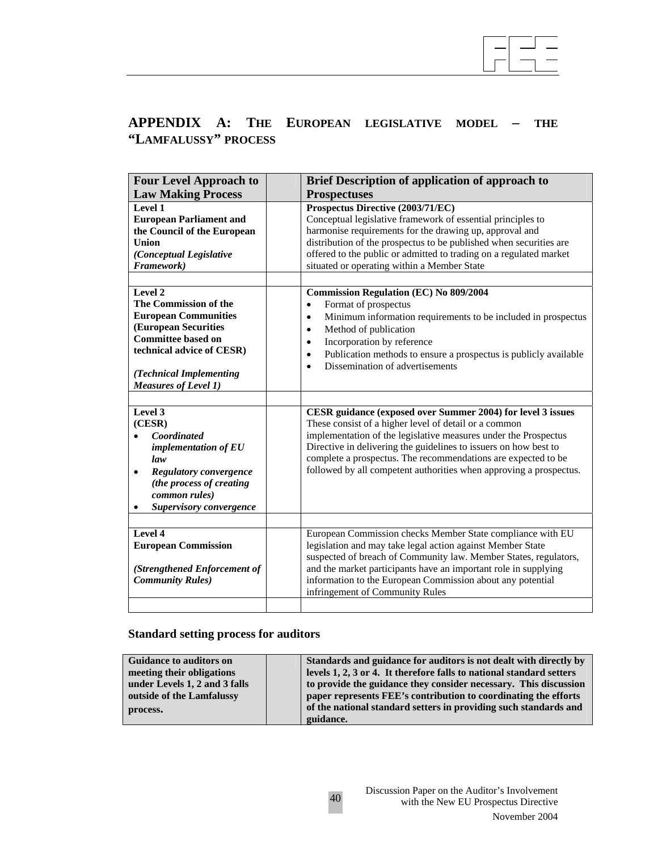

# **APPENDIX A: THE EUROPEAN LEGISLATIVE MODEL – THE "LAMFALUSSY" PROCESS**

| <b>Prospectuses</b>                                                                                                                                                                                                                                                                                                                                                                                |
|----------------------------------------------------------------------------------------------------------------------------------------------------------------------------------------------------------------------------------------------------------------------------------------------------------------------------------------------------------------------------------------------------|
| Prospectus Directive (2003/71/EC)<br>Conceptual legislative framework of essential principles to<br>harmonise requirements for the drawing up, approval and<br>distribution of the prospectus to be published when securities are<br>offered to the public or admitted to trading on a regulated market<br>situated or operating within a Member State                                             |
| <b>Commission Regulation (EC) No 809/2004</b><br>Format of prospectus<br>$\bullet$<br>Minimum information requirements to be included in prospectus<br>$\bullet$<br>Method of publication<br>$\bullet$<br>Incorporation by reference<br>$\bullet$<br>Publication methods to ensure a prospectus is publicly available<br>$\bullet$<br>Dissemination of advertisements                              |
| CESR guidance (exposed over Summer 2004) for level 3 issues<br>These consist of a higher level of detail or a common<br>implementation of the legislative measures under the Prospectus<br>Directive in delivering the guidelines to issuers on how best to<br>complete a prospectus. The recommendations are expected to be<br>followed by all competent authorities when approving a prospectus. |
| European Commission checks Member State compliance with EU<br>legislation and may take legal action against Member State<br>suspected of breach of Community law. Member States, regulators,<br>and the market participants have an important role in supplying<br>information to the European Commission about any potential<br>infringement of Community Rules                                   |
|                                                                                                                                                                                                                                                                                                                                                                                                    |

# **Standard setting process for auditors**

| <b>Guidance to auditors on</b> | Standards and guidance for auditors is not dealt with directly by    |  |
|--------------------------------|----------------------------------------------------------------------|--|
| meeting their obligations      | levels 1, 2, 3 or 4. It therefore falls to national standard setters |  |
| under Levels 1, 2 and 3 falls  | to provide the guidance they consider necessary. This discussion     |  |
| outside of the Lamfalussy      | paper represents FEE's contribution to coordinating the efforts      |  |
| process.                       | of the national standard setters in providing such standards and     |  |
|                                | guidance.                                                            |  |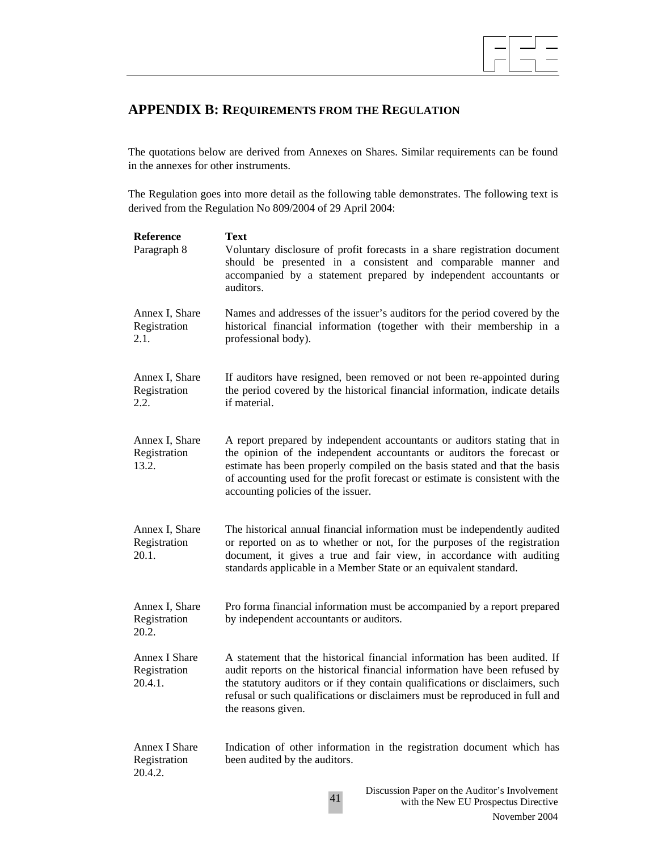

# **APPENDIX B: REQUIREMENTS FROM THE REGULATION**

The quotations below are derived from Annexes on Shares. Similar requirements can be found in the annexes for other instruments.

The Regulation goes into more detail as the following table demonstrates. The following text is derived from the Regulation No 809/2004 of 29 April 2004:

**Reference Text**  Paragraph 8 Voluntary disclosure of profit forecasts in a share registration document should be presented in a consistent and comparable manner and accompanied by a statement prepared by independent accountants or auditors. Annex I, Share Registration 2.1. Names and addresses of the issuer's auditors for the period covered by the historical financial information (together with their membership in a professional body). Annex I, Share Registration 2.2. If auditors have resigned, been removed or not been re-appointed during the period covered by the historical financial information, indicate details if material. Annex I, Share Registration 13.2. A report prepared by independent accountants or auditors stating that in the opinion of the independent accountants or auditors the forecast or estimate has been properly compiled on the basis stated and that the basis of accounting used for the profit forecast or estimate is consistent with the accounting policies of the issuer. Annex I, Share Registration 20.1. The historical annual financial information must be independently audited or reported on as to whether or not, for the purposes of the registration document, it gives a true and fair view, in accordance with auditing standards applicable in a Member State or an equivalent standard. Annex I, Share Registration 20.2. Pro forma financial information must be accompanied by a report prepared by independent accountants or auditors. Annex I Share Registration 20.4.1. A statement that the historical financial information has been audited. If audit reports on the historical financial information have been refused by the statutory auditors or if they contain qualifications or disclaimers, such refusal or such qualifications or disclaimers must be reproduced in full and the reasons given. Annex I Share Registration 20.4.2. Indication of other information in the registration document which has been audited by the auditors.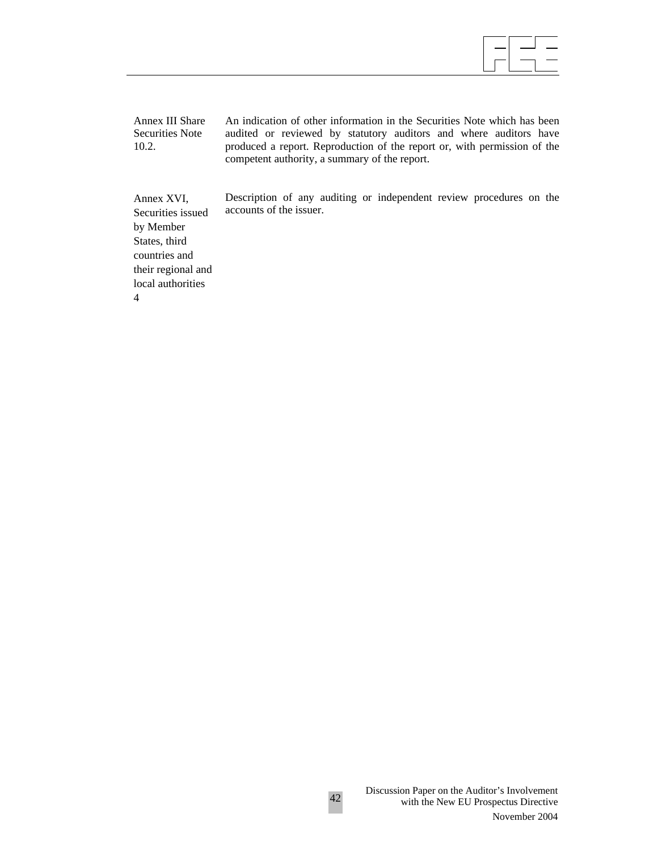Annex III Share Securities Note 10.2.

An indication of other information in the Securities Note which has been audited or reviewed by statutory auditors and where auditors have produced a report. Reproduction of the report or, with permission of the competent authority, a summary of the report.

Description of any auditing or independent review procedures on the accounts of the issuer.

Annex XVI, Securities issued by Member States, third countries and their regional and local authorities 4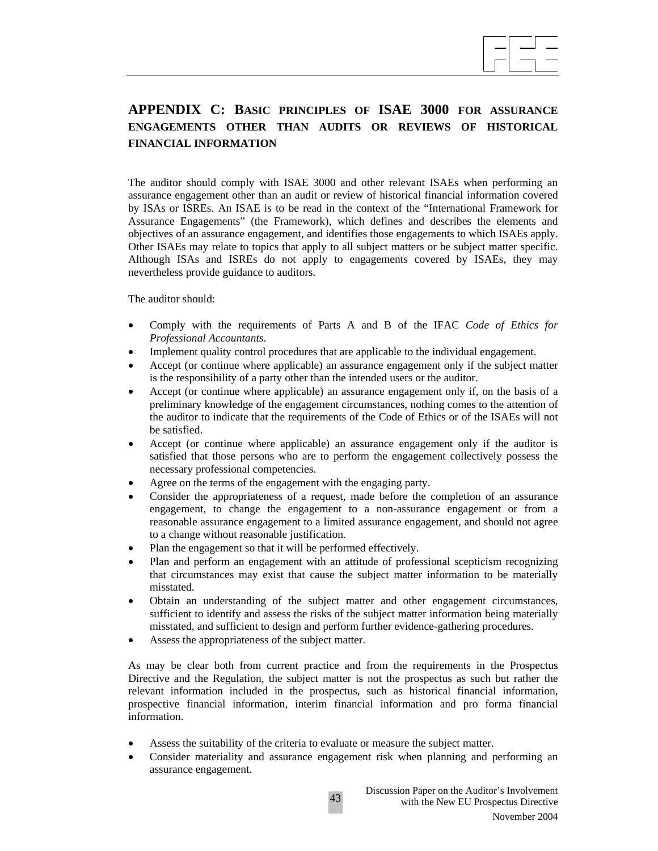

# **APPENDIX C: BASIC PRINCIPLES OF ISAE 3000 FOR ASSURANCE ENGAGEMENTS OTHER THAN AUDITS OR REVIEWS OF HISTORICAL FINANCIAL INFORMATION**

The auditor should comply with ISAE 3000 and other relevant ISAEs when performing an assurance engagement other than an audit or review of historical financial information covered by ISAs or ISREs. An ISAE is to be read in the context of the "International Framework for Assurance Engagements" (the Framework), which defines and describes the elements and objectives of an assurance engagement, and identifies those engagements to which ISAEs apply. Other ISAEs may relate to topics that apply to all subject matters or be subject matter specific. Although ISAs and ISREs do not apply to engagements covered by ISAEs, they may nevertheless provide guidance to auditors.

The auditor should:

- Comply with the requirements of Parts A and B of the IFAC *Code of Ethics for Professional Accountants*.
- Implement quality control procedures that are applicable to the individual engagement.
- Accept (or continue where applicable) an assurance engagement only if the subject matter is the responsibility of a party other than the intended users or the auditor.
- Accept (or continue where applicable) an assurance engagement only if, on the basis of a preliminary knowledge of the engagement circumstances, nothing comes to the attention of the auditor to indicate that the requirements of the Code of Ethics or of the ISAEs will not be satisfied.
- Accept (or continue where applicable) an assurance engagement only if the auditor is satisfied that those persons who are to perform the engagement collectively possess the necessary professional competencies.
- Agree on the terms of the engagement with the engaging party.
- Consider the appropriateness of a request, made before the completion of an assurance engagement, to change the engagement to a non-assurance engagement or from a reasonable assurance engagement to a limited assurance engagement, and should not agree to a change without reasonable justification.
- Plan the engagement so that it will be performed effectively.
- Plan and perform an engagement with an attitude of professional scepticism recognizing that circumstances may exist that cause the subject matter information to be materially misstated.
- Obtain an understanding of the subject matter and other engagement circumstances, sufficient to identify and assess the risks of the subject matter information being materially misstated, and sufficient to design and perform further evidence-gathering procedures.
- Assess the appropriateness of the subject matter.

As may be clear both from current practice and from the requirements in the Prospectus Directive and the Regulation, the subject matter is not the prospectus as such but rather the relevant information included in the prospectus, such as historical financial information, prospective financial information, interim financial information and pro forma financial information.

- Assess the suitability of the criteria to evaluate or measure the subject matter.
- Consider materiality and assurance engagement risk when planning and performing an assurance engagement.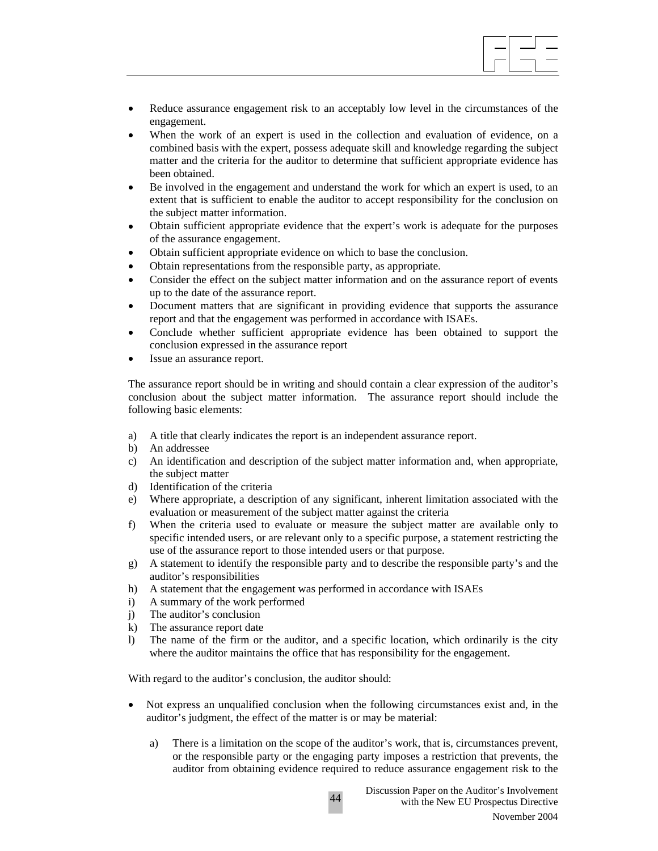• Reduce assurance engagement risk to an acceptably low level in the circumstances of the engagement.

 $\overline{\phantom{a}}$ 

- When the work of an expert is used in the collection and evaluation of evidence, on a combined basis with the expert, possess adequate skill and knowledge regarding the subject matter and the criteria for the auditor to determine that sufficient appropriate evidence has been obtained.
- Be involved in the engagement and understand the work for which an expert is used, to an extent that is sufficient to enable the auditor to accept responsibility for the conclusion on the subject matter information.
- Obtain sufficient appropriate evidence that the expert's work is adequate for the purposes of the assurance engagement.
- Obtain sufficient appropriate evidence on which to base the conclusion.
- Obtain representations from the responsible party, as appropriate.
- Consider the effect on the subject matter information and on the assurance report of events up to the date of the assurance report.
- Document matters that are significant in providing evidence that supports the assurance report and that the engagement was performed in accordance with ISAEs.
- Conclude whether sufficient appropriate evidence has been obtained to support the conclusion expressed in the assurance report
- Issue an assurance report.

The assurance report should be in writing and should contain a clear expression of the auditor's conclusion about the subject matter information. The assurance report should include the following basic elements:

- a) A title that clearly indicates the report is an independent assurance report.
- b) An addressee
- c) An identification and description of the subject matter information and, when appropriate, the subject matter
- d) Identification of the criteria
- e) Where appropriate, a description of any significant, inherent limitation associated with the evaluation or measurement of the subject matter against the criteria
- f) When the criteria used to evaluate or measure the subject matter are available only to specific intended users, or are relevant only to a specific purpose, a statement restricting the use of the assurance report to those intended users or that purpose.
- g) A statement to identify the responsible party and to describe the responsible party's and the auditor's responsibilities
- h) A statement that the engagement was performed in accordance with ISAEs
- i) A summary of the work performed
- j) The auditor's conclusion
- k) The assurance report date
- l) The name of the firm or the auditor, and a specific location, which ordinarily is the city where the auditor maintains the office that has responsibility for the engagement.

With regard to the auditor's conclusion, the auditor should:

• Not express an unqualified conclusion when the following circumstances exist and, in the auditor's judgment, the effect of the matter is or may be material:

44

a) There is a limitation on the scope of the auditor's work, that is, circumstances prevent, or the responsible party or the engaging party imposes a restriction that prevents, the auditor from obtaining evidence required to reduce assurance engagement risk to the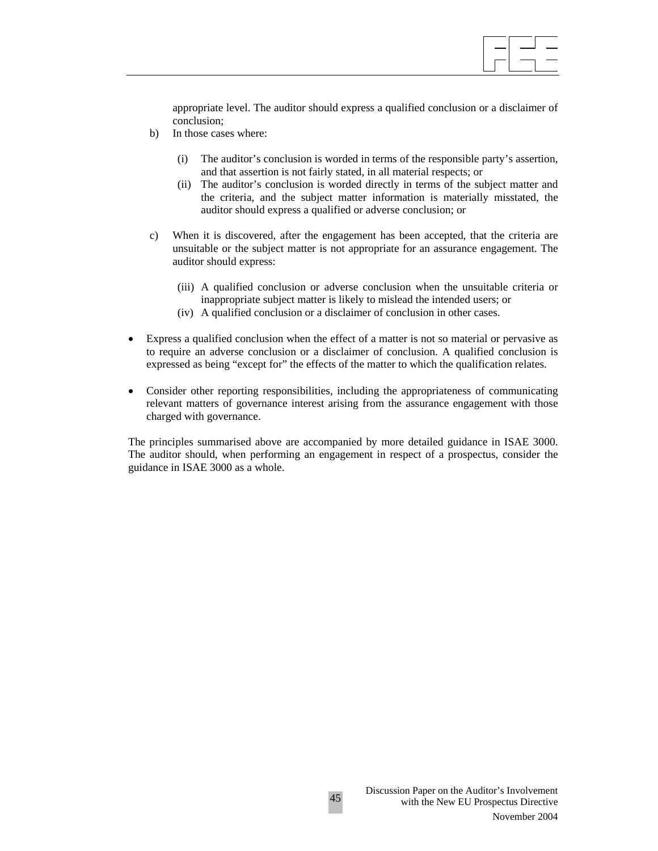

appropriate level. The auditor should express a qualified conclusion or a disclaimer of conclusion;

- b) In those cases where:
	- (i) The auditor's conclusion is worded in terms of the responsible party's assertion, and that assertion is not fairly stated, in all material respects; or
	- (ii) The auditor's conclusion is worded directly in terms of the subject matter and the criteria, and the subject matter information is materially misstated, the auditor should express a qualified or adverse conclusion; or
- c) When it is discovered, after the engagement has been accepted, that the criteria are unsuitable or the subject matter is not appropriate for an assurance engagement. The auditor should express:
	- (iii) A qualified conclusion or adverse conclusion when the unsuitable criteria or inappropriate subject matter is likely to mislead the intended users; or
	- (iv) A qualified conclusion or a disclaimer of conclusion in other cases.
- Express a qualified conclusion when the effect of a matter is not so material or pervasive as to require an adverse conclusion or a disclaimer of conclusion. A qualified conclusion is expressed as being "except for" the effects of the matter to which the qualification relates.
- Consider other reporting responsibilities, including the appropriateness of communicating relevant matters of governance interest arising from the assurance engagement with those charged with governance.

The principles summarised above are accompanied by more detailed guidance in ISAE 3000. The auditor should, when performing an engagement in respect of a prospectus, consider the guidance in ISAE 3000 as a whole.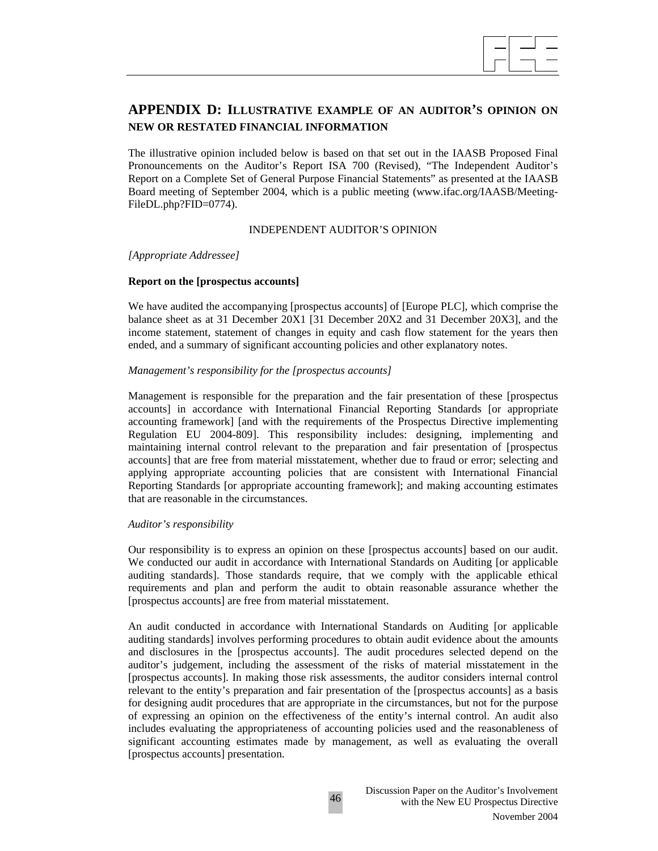

# **APPENDIX D: ILLUSTRATIVE EXAMPLE OF AN AUDITOR'S OPINION ON NEW OR RESTATED FINANCIAL INFORMATION**

The illustrative opinion included below is based on that set out in the IAASB Proposed Final Pronouncements on the Auditor's Report ISA 700 (Revised), "The Independent Auditor's Report on a Complete Set of General Purpose Financial Statements" as presented at the IAASB Board meeting of September 2004, which is a public meeting (www.ifac.org/IAASB/Meeting-FileDL.php?FID=0774).

#### INDEPENDENT AUDITOR'S OPINION

*[Appropriate Addressee]* 

#### **Report on the [prospectus accounts]**

We have audited the accompanying [prospectus accounts] of [Europe PLC], which comprise the balance sheet as at 31 December 20X1 [31 December 20X2 and 31 December 20X3], and the income statement, statement of changes in equity and cash flow statement for the years then ended, and a summary of significant accounting policies and other explanatory notes.

#### *Management's responsibility for the [prospectus accounts]*

Management is responsible for the preparation and the fair presentation of these [prospectus accounts] in accordance with International Financial Reporting Standards [or appropriate accounting framework] [and with the requirements of the Prospectus Directive implementing Regulation EU 2004-809]. This responsibility includes: designing, implementing and maintaining internal control relevant to the preparation and fair presentation of [prospectus accounts] that are free from material misstatement, whether due to fraud or error; selecting and applying appropriate accounting policies that are consistent with International Financial Reporting Standards [or appropriate accounting framework]; and making accounting estimates that are reasonable in the circumstances.

#### *Auditor's responsibility*

Our responsibility is to express an opinion on these [prospectus accounts] based on our audit. We conducted our audit in accordance with International Standards on Auditing [or applicable auditing standards]. Those standards require, that we comply with the applicable ethical requirements and plan and perform the audit to obtain reasonable assurance whether the [prospectus accounts] are free from material misstatement.

An audit conducted in accordance with International Standards on Auditing [or applicable auditing standards] involves performing procedures to obtain audit evidence about the amounts and disclosures in the [prospectus accounts]. The audit procedures selected depend on the auditor's judgement, including the assessment of the risks of material misstatement in the [prospectus accounts]. In making those risk assessments, the auditor considers internal control relevant to the entity's preparation and fair presentation of the [prospectus accounts] as a basis for designing audit procedures that are appropriate in the circumstances, but not for the purpose of expressing an opinion on the effectiveness of the entity's internal control. An audit also includes evaluating the appropriateness of accounting policies used and the reasonableness of significant accounting estimates made by management, as well as evaluating the overall [prospectus accounts] presentation.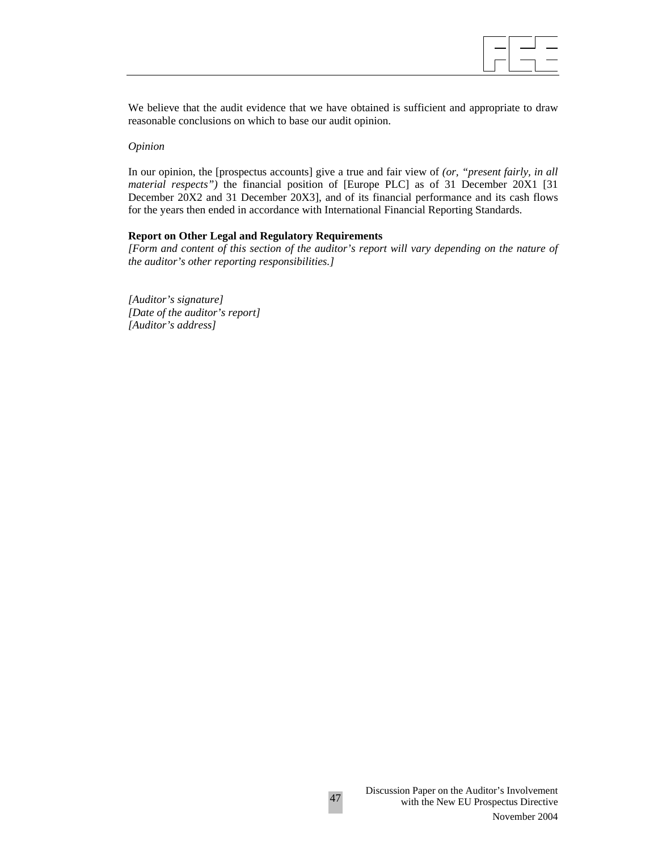

We believe that the audit evidence that we have obtained is sufficient and appropriate to draw reasonable conclusions on which to base our audit opinion.

#### *Opinion*

In our opinion, the [prospectus accounts] give a true and fair view of *(or, "present fairly, in all material respects")* the financial position of [Europe PLC] as of 31 December 20X1 [31 December 20X2 and 31 December 20X3], and of its financial performance and its cash flows for the years then ended in accordance with International Financial Reporting Standards.

#### **Report on Other Legal and Regulatory Requirements**

*[Form and content of this section of the auditor's report will vary depending on the nature of the auditor's other reporting responsibilities.]* 

*[Auditor's signature] [Date of the auditor's report] [Auditor's address]*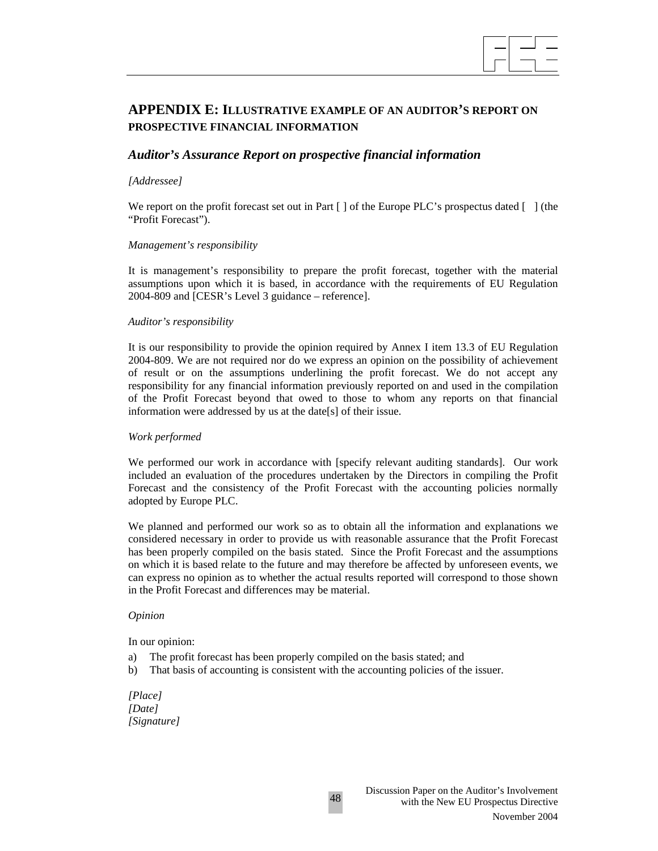

# **APPENDIX E: ILLUSTRATIVE EXAMPLE OF AN AUDITOR'S REPORT ON PROSPECTIVE FINANCIAL INFORMATION**

## *Auditor's Assurance Report on prospective financial information*

#### *[Addressee]*

We report on the profit forecast set out in Part [] of the Europe PLC's prospectus dated [ ] (the "Profit Forecast").

#### *Management's responsibility*

It is management's responsibility to prepare the profit forecast, together with the material assumptions upon which it is based, in accordance with the requirements of EU Regulation 2004-809 and [CESR's Level 3 guidance – reference].

#### *Auditor's responsibility*

It is our responsibility to provide the opinion required by Annex I item 13.3 of EU Regulation 2004-809. We are not required nor do we express an opinion on the possibility of achievement of result or on the assumptions underlining the profit forecast. We do not accept any responsibility for any financial information previously reported on and used in the compilation of the Profit Forecast beyond that owed to those to whom any reports on that financial information were addressed by us at the date[s] of their issue.

#### *Work performed*

We performed our work in accordance with [specify relevant auditing standards]. Our work included an evaluation of the procedures undertaken by the Directors in compiling the Profit Forecast and the consistency of the Profit Forecast with the accounting policies normally adopted by Europe PLC.

We planned and performed our work so as to obtain all the information and explanations we considered necessary in order to provide us with reasonable assurance that the Profit Forecast has been properly compiled on the basis stated. Since the Profit Forecast and the assumptions on which it is based relate to the future and may therefore be affected by unforeseen events, we can express no opinion as to whether the actual results reported will correspond to those shown in the Profit Forecast and differences may be material.

#### *Opinion*

In our opinion:

- a) The profit forecast has been properly compiled on the basis stated; and
- b) That basis of accounting is consistent with the accounting policies of the issuer.

48

*[Place] [Date] [Signature]*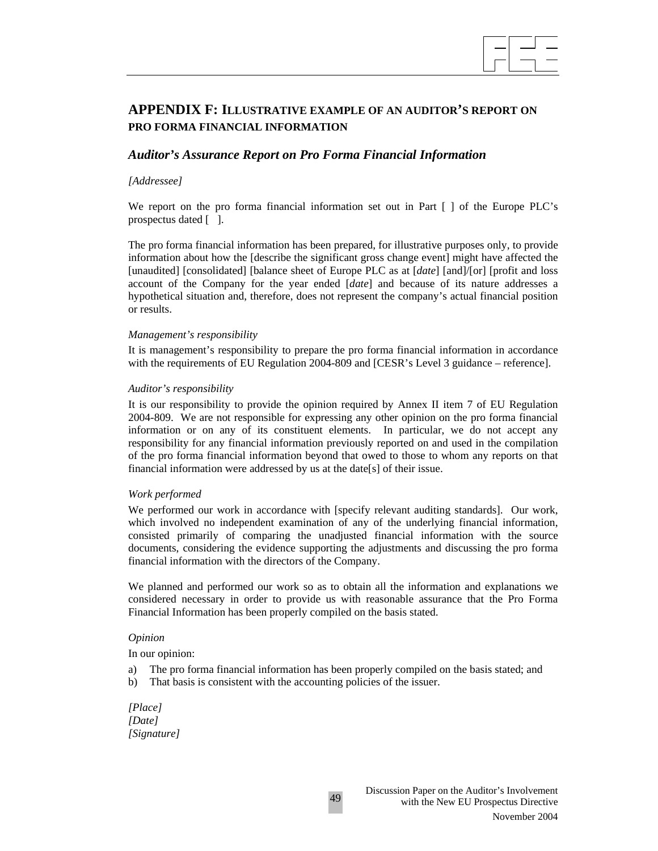

# **APPENDIX F: ILLUSTRATIVE EXAMPLE OF AN AUDITOR'S REPORT ON PRO FORMA FINANCIAL INFORMATION**

## *Auditor's Assurance Report on Pro Forma Financial Information*

#### *[Addressee]*

We report on the pro forma financial information set out in Part [ ] of the Europe PLC's prospectus dated [ ].

The pro forma financial information has been prepared, for illustrative purposes only, to provide information about how the [describe the significant gross change event] might have affected the [unaudited] [consolidated] [balance sheet of Europe PLC as at [*date*] [and]/[or] [profit and loss account of the Company for the year ended [*date*] and because of its nature addresses a hypothetical situation and, therefore, does not represent the company's actual financial position or results.

#### *Management's responsibility*

It is management's responsibility to prepare the pro forma financial information in accordance with the requirements of EU Regulation 2004-809 and [CESR's Level 3 guidance – reference].

#### *Auditor's responsibility*

It is our responsibility to provide the opinion required by Annex II item 7 of EU Regulation 2004-809. We are not responsible for expressing any other opinion on the pro forma financial information or on any of its constituent elements. In particular, we do not accept any responsibility for any financial information previously reported on and used in the compilation of the pro forma financial information beyond that owed to those to whom any reports on that financial information were addressed by us at the date[s] of their issue.

#### *Work performed*

We performed our work in accordance with [specify relevant auditing standards]. Our work, which involved no independent examination of any of the underlying financial information, consisted primarily of comparing the unadjusted financial information with the source documents, considering the evidence supporting the adjustments and discussing the pro forma financial information with the directors of the Company.

We planned and performed our work so as to obtain all the information and explanations we considered necessary in order to provide us with reasonable assurance that the Pro Forma Financial Information has been properly compiled on the basis stated.

#### *Opinion*

In our opinion:

- a) The pro forma financial information has been properly compiled on the basis stated; and
- b) That basis is consistent with the accounting policies of the issuer.

*[Place] [Date] [Signature]*